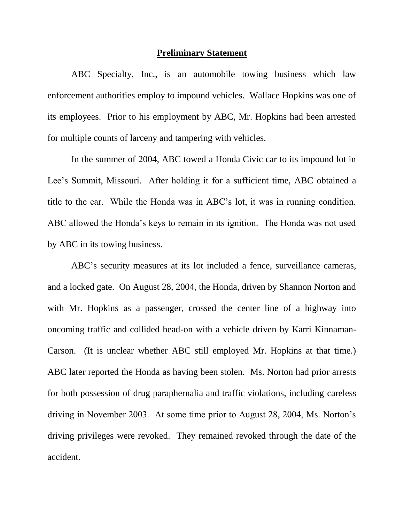#### **Preliminary Statement**

ABC Specialty, Inc., is an automobile towing business which law enforcement authorities employ to impound vehicles. Wallace Hopkins was one of its employees. Prior to his employment by ABC, Mr. Hopkins had been arrested for multiple counts of larceny and tampering with vehicles.

In the summer of 2004, ABC towed a Honda Civic car to its impound lot in Lee's Summit, Missouri. After holding it for a sufficient time, ABC obtained a title to the car. While the Honda was in ABC"s lot, it was in running condition. ABC allowed the Honda"s keys to remain in its ignition. The Honda was not used by ABC in its towing business.

ABC"s security measures at its lot included a fence, surveillance cameras, and a locked gate. On August 28, 2004, the Honda, driven by Shannon Norton and with Mr. Hopkins as a passenger, crossed the center line of a highway into oncoming traffic and collided head-on with a vehicle driven by Karri Kinnaman-Carson. (It is unclear whether ABC still employed Mr. Hopkins at that time.) ABC later reported the Honda as having been stolen. Ms. Norton had prior arrests for both possession of drug paraphernalia and traffic violations, including careless driving in November 2003. At some time prior to August 28, 2004, Ms. Norton"s driving privileges were revoked. They remained revoked through the date of the accident.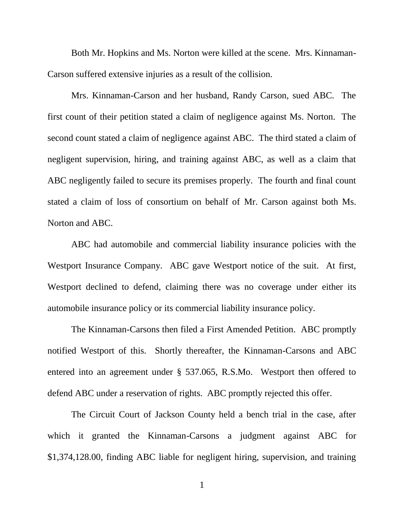Both Mr. Hopkins and Ms. Norton were killed at the scene. Mrs. Kinnaman-Carson suffered extensive injuries as a result of the collision.

Mrs. Kinnaman-Carson and her husband, Randy Carson, sued ABC. The first count of their petition stated a claim of negligence against Ms. Norton. The second count stated a claim of negligence against ABC. The third stated a claim of negligent supervision, hiring, and training against ABC, as well as a claim that ABC negligently failed to secure its premises properly. The fourth and final count stated a claim of loss of consortium on behalf of Mr. Carson against both Ms. Norton and ABC.

ABC had automobile and commercial liability insurance policies with the Westport Insurance Company. ABC gave Westport notice of the suit. At first, Westport declined to defend, claiming there was no coverage under either its automobile insurance policy or its commercial liability insurance policy.

The Kinnaman-Carsons then filed a First Amended Petition. ABC promptly notified Westport of this. Shortly thereafter, the Kinnaman-Carsons and ABC entered into an agreement under § 537.065, R.S.Mo. Westport then offered to defend ABC under a reservation of rights. ABC promptly rejected this offer.

The Circuit Court of Jackson County held a bench trial in the case, after which it granted the Kinnaman-Carsons a judgment against ABC for \$1,374,128.00, finding ABC liable for negligent hiring, supervision, and training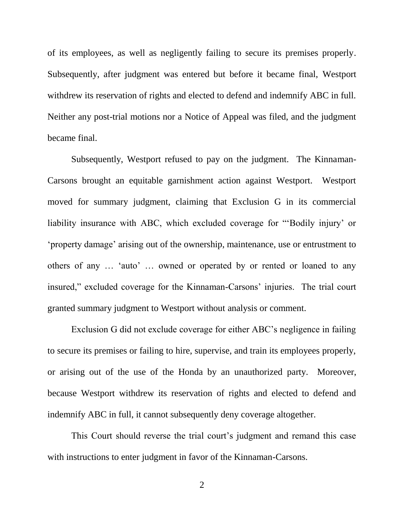of its employees, as well as negligently failing to secure its premises properly. Subsequently, after judgment was entered but before it became final, Westport withdrew its reservation of rights and elected to defend and indemnify ABC in full. Neither any post-trial motions nor a Notice of Appeal was filed, and the judgment became final.

Subsequently, Westport refused to pay on the judgment. The Kinnaman-Carsons brought an equitable garnishment action against Westport. Westport moved for summary judgment, claiming that Exclusion G in its commercial liability insurance with ABC, which excluded coverage for ""Bodily injury" or "property damage" arising out of the ownership, maintenance, use or entrustment to others of any … "auto" … owned or operated by or rented or loaned to any insured," excluded coverage for the Kinnaman-Carsons' injuries. The trial court granted summary judgment to Westport without analysis or comment.

Exclusion G did not exclude coverage for either ABC"s negligence in failing to secure its premises or failing to hire, supervise, and train its employees properly, or arising out of the use of the Honda by an unauthorized party. Moreover, because Westport withdrew its reservation of rights and elected to defend and indemnify ABC in full, it cannot subsequently deny coverage altogether.

This Court should reverse the trial court's judgment and remand this case with instructions to enter judgment in favor of the Kinnaman-Carsons.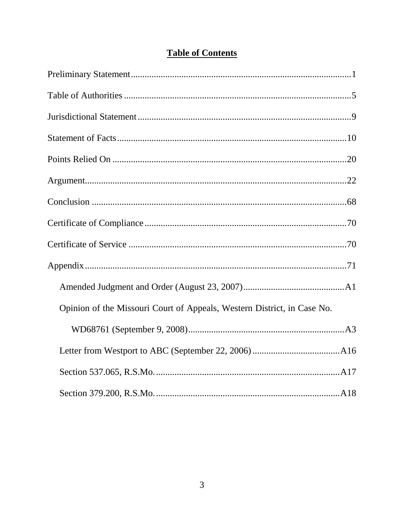| Opinion of the Missouri Court of Appeals, Western District, in Case No. |
|-------------------------------------------------------------------------|
|                                                                         |
|                                                                         |
|                                                                         |
|                                                                         |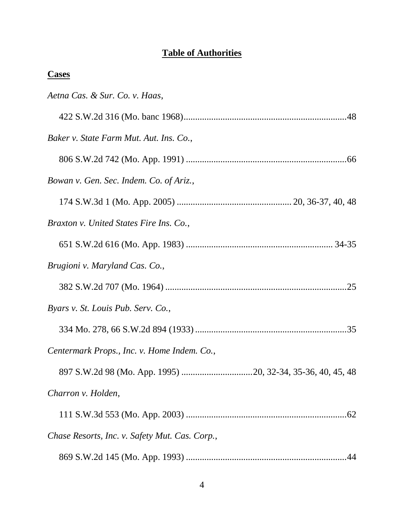### **Table of Authorities**

| <b>Cases</b>                                   |
|------------------------------------------------|
| Aetna Cas. & Sur. Co. v. Haas,                 |
|                                                |
| Baker v. State Farm Mut. Aut. Ins. Co.,        |
|                                                |
| Bowan v. Gen. Sec. Indem. Co. of Ariz.,        |
|                                                |
| Braxton v. United States Fire Ins. Co.,        |
|                                                |
| Brugioni v. Maryland Cas. Co.,                 |
|                                                |
| Byars v. St. Louis Pub. Serv. Co.,             |
|                                                |
| Centermark Props., Inc. v. Home Indem. Co.,    |
|                                                |
| Charron v. Holden,                             |
|                                                |
| Chase Resorts, Inc. v. Safety Mut. Cas. Corp., |
|                                                |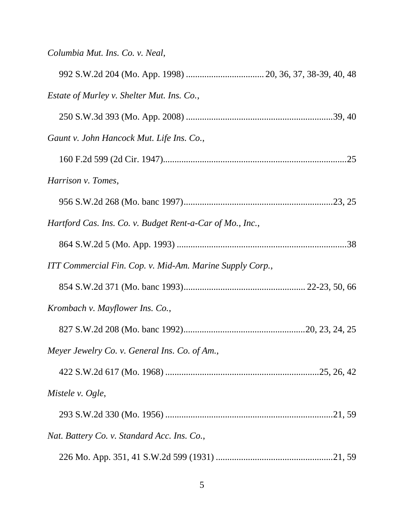*Columbia Mut. Ins. Co. v. Neal*,

| <i>Estate of Murley v. Shelter Mut. Ins. Co.,</i>         |
|-----------------------------------------------------------|
|                                                           |
| Gaunt v. John Hancock Mut. Life Ins. Co.,                 |
|                                                           |
| Harrison v. Tomes,                                        |
|                                                           |
| Hartford Cas. Ins. Co. v. Budget Rent-a-Car of Mo., Inc., |
|                                                           |
| ITT Commercial Fin. Cop. v. Mid-Am. Marine Supply Corp.,  |
|                                                           |
| Krombach v. Mayflower Ins. Co.,                           |
|                                                           |
| Meyer Jewelry Co. v. General Ins. Co. of Am.,             |
|                                                           |
| Mistele v. Ogle,                                          |
|                                                           |
| Nat. Battery Co. v. Standard Acc. Ins. Co.,               |
|                                                           |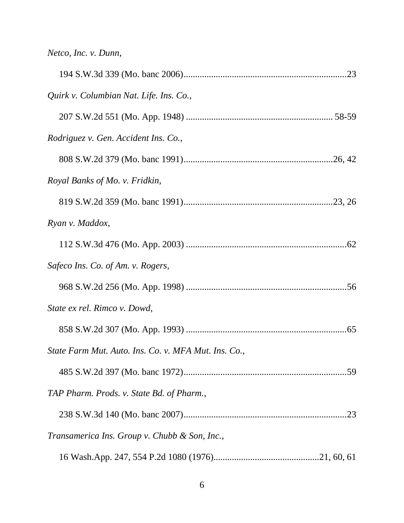| Netco, Inc. v. Dunn, |  |  |
|----------------------|--|--|
|----------------------|--|--|

| Quirk v. Columbian Nat. Life. Ins. Co.,              |
|------------------------------------------------------|
|                                                      |
| Rodriguez v. Gen. Accident Ins. Co.,                 |
|                                                      |
| Royal Banks of Mo. v. Fridkin,                       |
|                                                      |
| Ryan v. Maddox,                                      |
|                                                      |
| Safeco Ins. Co. of Am. v. Rogers,                    |
|                                                      |
| State ex rel. Rimco v. Dowd,                         |
|                                                      |
| State Farm Mut. Auto. Ins. Co. v. MFA Mut. Ins. Co., |
|                                                      |
| TAP Pharm. Prods. v. State Bd. of Pharm.,            |
|                                                      |
| Transamerica Ins. Group v. Chubb & Son, Inc.,        |
|                                                      |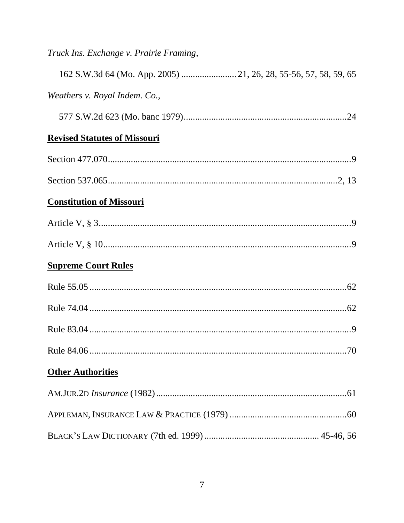| Truck Ins. Exchange v. Prairie Framing, |
|-----------------------------------------|
|                                         |
| Weathers v. Royal Indem. Co.,           |
|                                         |
| <b>Revised Statutes of Missouri</b>     |
|                                         |
|                                         |
| <b>Constitution of Missouri</b>         |
|                                         |
|                                         |
|                                         |
| <b>Supreme Court Rules</b>              |
|                                         |
|                                         |
|                                         |
|                                         |
| <b>Other Authorities</b>                |
|                                         |
|                                         |
|                                         |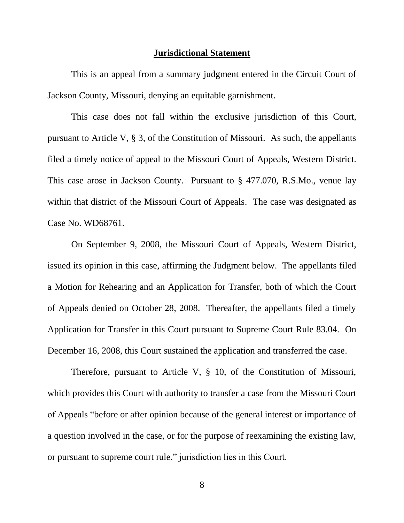#### **Jurisdictional Statement**

This is an appeal from a summary judgment entered in the Circuit Court of Jackson County, Missouri, denying an equitable garnishment.

This case does not fall within the exclusive jurisdiction of this Court, pursuant to Article V, § 3, of the Constitution of Missouri. As such, the appellants filed a timely notice of appeal to the Missouri Court of Appeals, Western District. This case arose in Jackson County. Pursuant to § 477.070, R.S.Mo., venue lay within that district of the Missouri Court of Appeals. The case was designated as Case No. WD68761.

On September 9, 2008, the Missouri Court of Appeals, Western District, issued its opinion in this case, affirming the Judgment below. The appellants filed a Motion for Rehearing and an Application for Transfer, both of which the Court of Appeals denied on October 28, 2008. Thereafter, the appellants filed a timely Application for Transfer in this Court pursuant to Supreme Court Rule 83.04. On December 16, 2008, this Court sustained the application and transferred the case.

Therefore, pursuant to Article V, § 10, of the Constitution of Missouri, which provides this Court with authority to transfer a case from the Missouri Court of Appeals "before or after opinion because of the general interest or importance of a question involved in the case, or for the purpose of reexamining the existing law, or pursuant to supreme court rule," jurisdiction lies in this Court.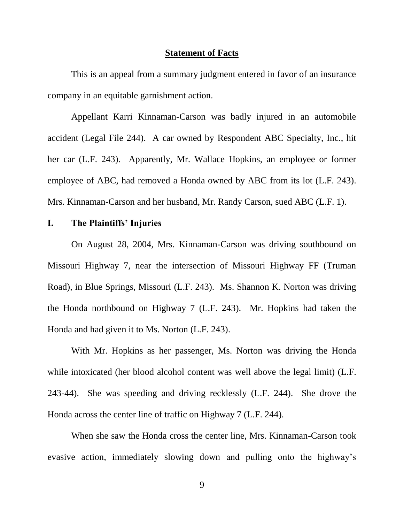#### **Statement of Facts**

This is an appeal from a summary judgment entered in favor of an insurance company in an equitable garnishment action.

Appellant Karri Kinnaman-Carson was badly injured in an automobile accident (Legal File 244). A car owned by Respondent ABC Specialty, Inc., hit her car (L.F. 243). Apparently, Mr. Wallace Hopkins, an employee or former employee of ABC, had removed a Honda owned by ABC from its lot (L.F. 243). Mrs. Kinnaman-Carson and her husband, Mr. Randy Carson, sued ABC (L.F. 1).

#### **I. The Plaintiffs' Injuries**

On August 28, 2004, Mrs. Kinnaman-Carson was driving southbound on Missouri Highway 7, near the intersection of Missouri Highway FF (Truman Road), in Blue Springs, Missouri (L.F. 243). Ms. Shannon K. Norton was driving the Honda northbound on Highway 7 (L.F. 243). Mr. Hopkins had taken the Honda and had given it to Ms. Norton (L.F. 243).

With Mr. Hopkins as her passenger, Ms. Norton was driving the Honda while intoxicated (her blood alcohol content was well above the legal limit) (L.F. 243-44). She was speeding and driving recklessly (L.F. 244). She drove the Honda across the center line of traffic on Highway 7 (L.F. 244).

When she saw the Honda cross the center line, Mrs. Kinnaman-Carson took evasive action, immediately slowing down and pulling onto the highway"s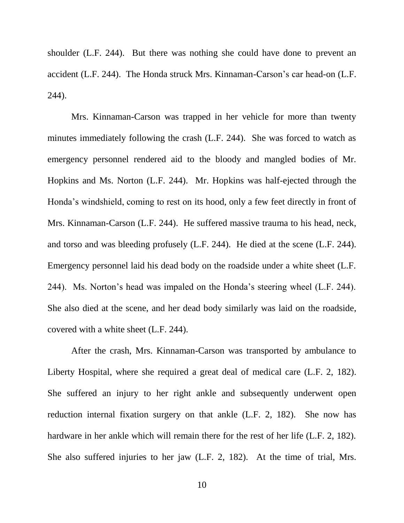shoulder (L.F. 244). But there was nothing she could have done to prevent an accident (L.F. 244). The Honda struck Mrs. Kinnaman-Carson"s car head-on (L.F. 244).

Mrs. Kinnaman-Carson was trapped in her vehicle for more than twenty minutes immediately following the crash (L.F. 244). She was forced to watch as emergency personnel rendered aid to the bloody and mangled bodies of Mr. Hopkins and Ms. Norton (L.F. 244). Mr. Hopkins was half-ejected through the Honda"s windshield, coming to rest on its hood, only a few feet directly in front of Mrs. Kinnaman-Carson (L.F. 244). He suffered massive trauma to his head, neck, and torso and was bleeding profusely (L.F. 244). He died at the scene (L.F. 244). Emergency personnel laid his dead body on the roadside under a white sheet (L.F. 244). Ms. Norton"s head was impaled on the Honda"s steering wheel (L.F. 244). She also died at the scene, and her dead body similarly was laid on the roadside, covered with a white sheet (L.F. 244).

After the crash, Mrs. Kinnaman-Carson was transported by ambulance to Liberty Hospital, where she required a great deal of medical care (L.F. 2, 182). She suffered an injury to her right ankle and subsequently underwent open reduction internal fixation surgery on that ankle (L.F. 2, 182). She now has hardware in her ankle which will remain there for the rest of her life (L.F. 2, 182). She also suffered injuries to her jaw (L.F. 2, 182). At the time of trial, Mrs.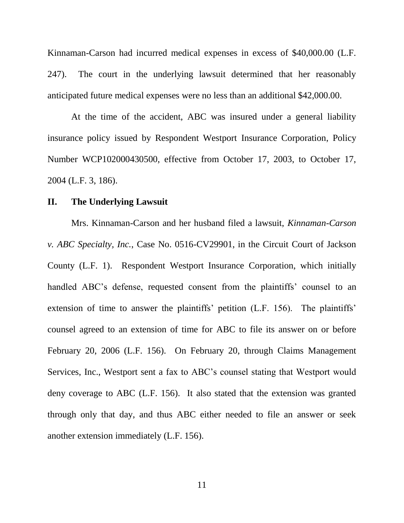Kinnaman-Carson had incurred medical expenses in excess of \$40,000.00 (L.F. 247). The court in the underlying lawsuit determined that her reasonably anticipated future medical expenses were no less than an additional \$42,000.00.

At the time of the accident, ABC was insured under a general liability insurance policy issued by Respondent Westport Insurance Corporation, Policy Number WCP102000430500, effective from October 17, 2003, to October 17, 2004 (L.F. 3, 186).

#### **II. The Underlying Lawsuit**

Mrs. Kinnaman-Carson and her husband filed a lawsuit, *Kinnaman-Carson v. ABC Specialty, Inc.*, Case No. 0516-CV29901, in the Circuit Court of Jackson County (L.F. 1). Respondent Westport Insurance Corporation, which initially handled ABC's defense, requested consent from the plaintiffs' counsel to an extension of time to answer the plaintiffs' petition (L.F. 156). The plaintiffs' counsel agreed to an extension of time for ABC to file its answer on or before February 20, 2006 (L.F. 156). On February 20, through Claims Management Services, Inc., Westport sent a fax to ABC"s counsel stating that Westport would deny coverage to ABC (L.F. 156). It also stated that the extension was granted through only that day, and thus ABC either needed to file an answer or seek another extension immediately (L.F. 156).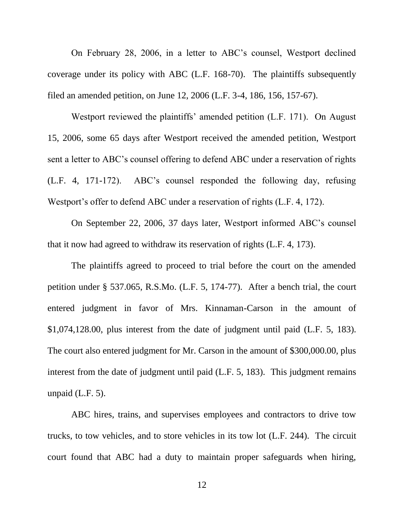On February 28, 2006, in a letter to ABC"s counsel, Westport declined coverage under its policy with ABC (L.F. 168-70). The plaintiffs subsequently filed an amended petition, on June 12, 2006 (L.F. 3-4, 186, 156, 157-67).

Westport reviewed the plaintiffs' amended petition (L.F. 171). On August 15, 2006, some 65 days after Westport received the amended petition, Westport sent a letter to ABC"s counsel offering to defend ABC under a reservation of rights (L.F. 4, 171-172). ABC"s counsel responded the following day, refusing Westport's offer to defend ABC under a reservation of rights (L.F. 4, 172).

On September 22, 2006, 37 days later, Westport informed ABC"s counsel that it now had agreed to withdraw its reservation of rights (L.F. 4, 173).

The plaintiffs agreed to proceed to trial before the court on the amended petition under § 537.065, R.S.Mo. (L.F. 5, 174-77). After a bench trial, the court entered judgment in favor of Mrs. Kinnaman-Carson in the amount of \$1,074,128.00, plus interest from the date of judgment until paid (L.F. 5, 183). The court also entered judgment for Mr. Carson in the amount of \$300,000.00, plus interest from the date of judgment until paid (L.F. 5, 183). This judgment remains unpaid (L.F. 5).

ABC hires, trains, and supervises employees and contractors to drive tow trucks, to tow vehicles, and to store vehicles in its tow lot (L.F. 244). The circuit court found that ABC had a duty to maintain proper safeguards when hiring,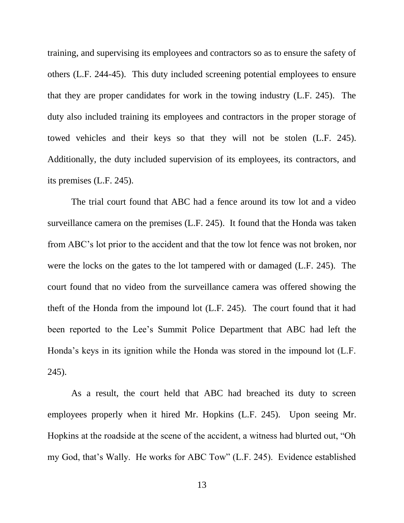training, and supervising its employees and contractors so as to ensure the safety of others (L.F. 244-45). This duty included screening potential employees to ensure that they are proper candidates for work in the towing industry (L.F. 245). The duty also included training its employees and contractors in the proper storage of towed vehicles and their keys so that they will not be stolen (L.F. 245). Additionally, the duty included supervision of its employees, its contractors, and its premises (L.F. 245).

The trial court found that ABC had a fence around its tow lot and a video surveillance camera on the premises (L.F. 245). It found that the Honda was taken from ABC"s lot prior to the accident and that the tow lot fence was not broken, nor were the locks on the gates to the lot tampered with or damaged (L.F. 245). The court found that no video from the surveillance camera was offered showing the theft of the Honda from the impound lot (L.F. 245). The court found that it had been reported to the Lee"s Summit Police Department that ABC had left the Honda"s keys in its ignition while the Honda was stored in the impound lot (L.F. 245).

As a result, the court held that ABC had breached its duty to screen employees properly when it hired Mr. Hopkins (L.F. 245). Upon seeing Mr. Hopkins at the roadside at the scene of the accident, a witness had blurted out, "Oh my God, that"s Wally. He works for ABC Tow" (L.F. 245). Evidence established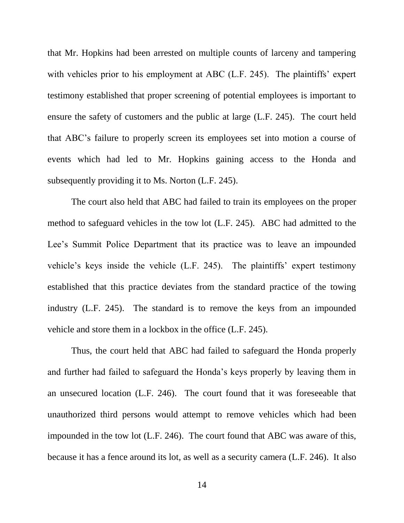that Mr. Hopkins had been arrested on multiple counts of larceny and tampering with vehicles prior to his employment at ABC (L.F. 245). The plaintiffs' expert testimony established that proper screening of potential employees is important to ensure the safety of customers and the public at large (L.F. 245). The court held that ABC"s failure to properly screen its employees set into motion a course of events which had led to Mr. Hopkins gaining access to the Honda and subsequently providing it to Ms. Norton (L.F. 245).

The court also held that ABC had failed to train its employees on the proper method to safeguard vehicles in the tow lot (L.F. 245). ABC had admitted to the Lee's Summit Police Department that its practice was to leave an impounded vehicle"s keys inside the vehicle (L.F. 245). The plaintiffs" expert testimony established that this practice deviates from the standard practice of the towing industry (L.F. 245). The standard is to remove the keys from an impounded vehicle and store them in a lockbox in the office (L.F. 245).

Thus, the court held that ABC had failed to safeguard the Honda properly and further had failed to safeguard the Honda"s keys properly by leaving them in an unsecured location (L.F. 246). The court found that it was foreseeable that unauthorized third persons would attempt to remove vehicles which had been impounded in the tow lot (L.F. 246). The court found that ABC was aware of this, because it has a fence around its lot, as well as a security camera (L.F. 246). It also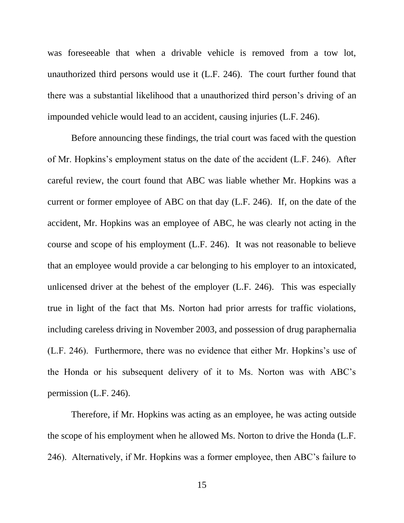was foreseeable that when a drivable vehicle is removed from a tow lot, unauthorized third persons would use it (L.F. 246). The court further found that there was a substantial likelihood that a unauthorized third person"s driving of an impounded vehicle would lead to an accident, causing injuries (L.F. 246).

Before announcing these findings, the trial court was faced with the question of Mr. Hopkins"s employment status on the date of the accident (L.F. 246). After careful review, the court found that ABC was liable whether Mr. Hopkins was a current or former employee of ABC on that day (L.F. 246). If, on the date of the accident, Mr. Hopkins was an employee of ABC, he was clearly not acting in the course and scope of his employment (L.F. 246). It was not reasonable to believe that an employee would provide a car belonging to his employer to an intoxicated, unlicensed driver at the behest of the employer (L.F. 246). This was especially true in light of the fact that Ms. Norton had prior arrests for traffic violations, including careless driving in November 2003, and possession of drug paraphernalia (L.F. 246). Furthermore, there was no evidence that either Mr. Hopkins"s use of the Honda or his subsequent delivery of it to Ms. Norton was with ABC"s permission (L.F. 246).

Therefore, if Mr. Hopkins was acting as an employee, he was acting outside the scope of his employment when he allowed Ms. Norton to drive the Honda (L.F. 246). Alternatively, if Mr. Hopkins was a former employee, then ABC"s failure to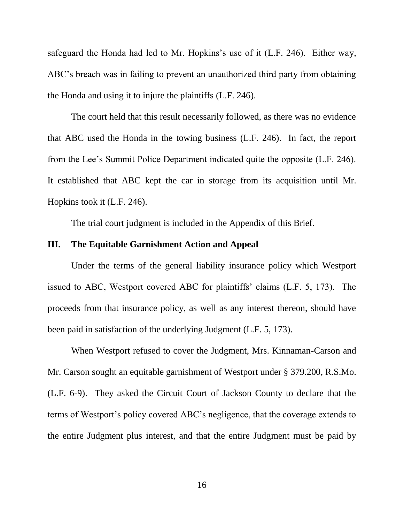safeguard the Honda had led to Mr. Hopkins's use of it (L.F. 246). Either way, ABC"s breach was in failing to prevent an unauthorized third party from obtaining the Honda and using it to injure the plaintiffs (L.F. 246).

The court held that this result necessarily followed, as there was no evidence that ABC used the Honda in the towing business (L.F. 246). In fact, the report from the Lee"s Summit Police Department indicated quite the opposite (L.F. 246). It established that ABC kept the car in storage from its acquisition until Mr. Hopkins took it (L.F. 246).

The trial court judgment is included in the Appendix of this Brief.

#### **III. The Equitable Garnishment Action and Appeal**

Under the terms of the general liability insurance policy which Westport issued to ABC, Westport covered ABC for plaintiffs" claims (L.F. 5, 173). The proceeds from that insurance policy, as well as any interest thereon, should have been paid in satisfaction of the underlying Judgment (L.F. 5, 173).

When Westport refused to cover the Judgment, Mrs. Kinnaman-Carson and Mr. Carson sought an equitable garnishment of Westport under § 379.200, R.S.Mo. (L.F. 6-9). They asked the Circuit Court of Jackson County to declare that the terms of Westport"s policy covered ABC"s negligence, that the coverage extends to the entire Judgment plus interest, and that the entire Judgment must be paid by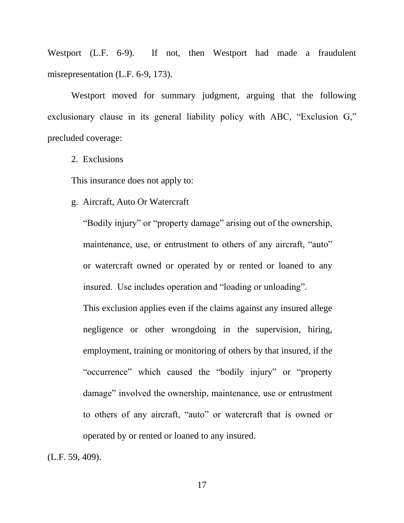Westport (L.F. 6-9). If not, then Westport had made a fraudulent misrepresentation (L.F. 6-9, 173).

Westport moved for summary judgment, arguing that the following exclusionary clause in its general liability policy with ABC, "Exclusion G," precluded coverage:

2. Exclusions

This insurance does not apply to:

g. Aircraft, Auto Or Watercraft

"Bodily injury" or "property damage" arising out of the ownership, maintenance, use, or entrustment to others of any aircraft, "auto" or watercraft owned or operated by or rented or loaned to any insured. Use includes operation and "loading or unloading".

This exclusion applies even if the claims against any insured allege negligence or other wrongdoing in the supervision, hiring, employment, training or monitoring of others by that insured, if the "occurrence" which caused the "bodily injury" or "property damage" involved the ownership, maintenance, use or entrustment to others of any aircraft, "auto" or watercraft that is owned or operated by or rented or loaned to any insured.

(L.F. 59, 409).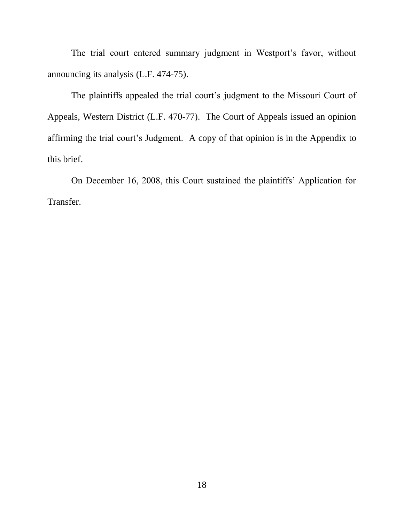The trial court entered summary judgment in Westport's favor, without announcing its analysis (L.F. 474-75).

The plaintiffs appealed the trial court's judgment to the Missouri Court of Appeals, Western District (L.F. 470-77). The Court of Appeals issued an opinion affirming the trial court's Judgment. A copy of that opinion is in the Appendix to this brief.

On December 16, 2008, this Court sustained the plaintiffs" Application for Transfer.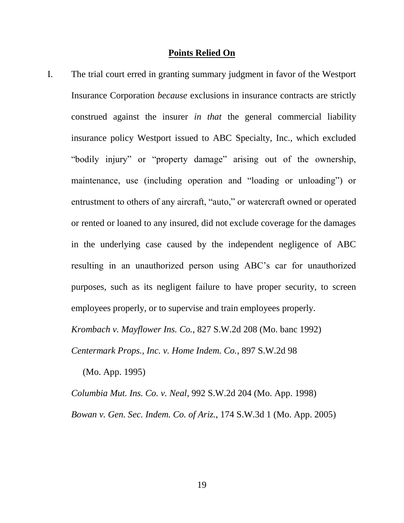#### **Points Relied On**

I. The trial court erred in granting summary judgment in favor of the Westport Insurance Corporation *because* exclusions in insurance contracts are strictly construed against the insurer *in that* the general commercial liability insurance policy Westport issued to ABC Specialty, Inc., which excluded "bodily injury" or "property damage" arising out of the ownership, maintenance, use (including operation and "loading or unloading") or entrustment to others of any aircraft, "auto," or watercraft owned or operated or rented or loaned to any insured, did not exclude coverage for the damages in the underlying case caused by the independent negligence of ABC resulting in an unauthorized person using ABC"s car for unauthorized purposes, such as its negligent failure to have proper security, to screen employees properly, or to supervise and train employees properly. *Krombach v. Mayflower Ins. Co.*, 827 S.W.2d 208 (Mo. banc 1992)

*Centermark Props., Inc. v. Home Indem. Co.*, 897 S.W.2d 98

(Mo. App. 1995)

*Columbia Mut. Ins. Co. v. Neal*, 992 S.W.2d 204 (Mo. App. 1998)

*Bowan v. Gen. Sec. Indem. Co. of Ariz.*, 174 S.W.3d 1 (Mo. App. 2005)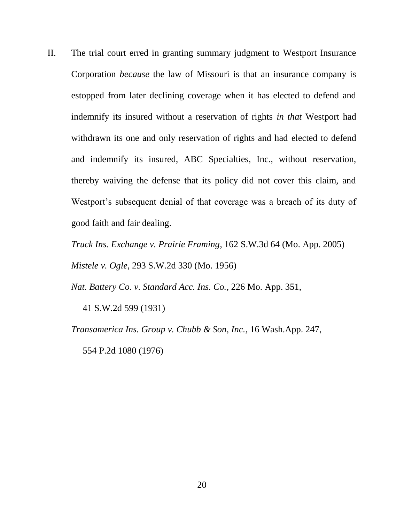II. The trial court erred in granting summary judgment to Westport Insurance Corporation *because* the law of Missouri is that an insurance company is estopped from later declining coverage when it has elected to defend and indemnify its insured without a reservation of rights *in that* Westport had withdrawn its one and only reservation of rights and had elected to defend and indemnify its insured, ABC Specialties, Inc., without reservation, thereby waiving the defense that its policy did not cover this claim, and Westport's subsequent denial of that coverage was a breach of its duty of good faith and fair dealing.

*Truck Ins. Exchange v. Prairie Framing*, 162 S.W.3d 64 (Mo. App. 2005) *Mistele v. Ogle*, 293 S.W.2d 330 (Mo. 1956)

*Nat. Battery Co. v. Standard Acc. Ins. Co.*, 226 Mo. App. 351,

41 S.W.2d 599 (1931)

*Transamerica Ins. Group v. Chubb & Son, Inc.*, 16 Wash.App. 247, 554 P.2d 1080 (1976)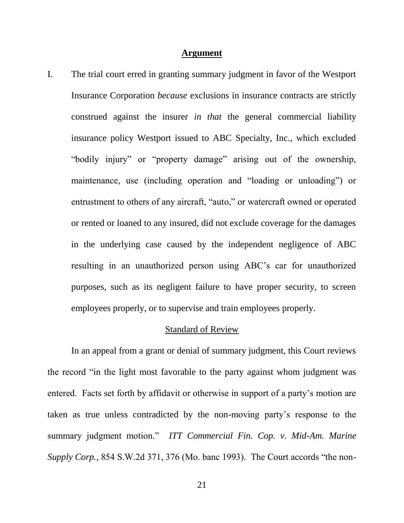#### **Argument**

I. The trial court erred in granting summary judgment in favor of the Westport Insurance Corporation *because* exclusions in insurance contracts are strictly construed against the insurer *in that* the general commercial liability insurance policy Westport issued to ABC Specialty, Inc., which excluded "bodily injury" or "property damage" arising out of the ownership, maintenance, use (including operation and "loading or unloading") or entrustment to others of any aircraft, "auto," or watercraft owned or operated or rented or loaned to any insured, did not exclude coverage for the damages in the underlying case caused by the independent negligence of ABC resulting in an unauthorized person using ABC"s car for unauthorized purposes, such as its negligent failure to have proper security, to screen employees properly, or to supervise and train employees properly.

#### Standard of Review

In an appeal from a grant or denial of summary judgment, this Court reviews the record "in the light most favorable to the party against whom judgment was entered. Facts set forth by affidavit or otherwise in support of a party"s motion are taken as true unless contradicted by the non-moving party"s response to the summary judgment motion." *ITT Commercial Fin. Cop. v. Mid-Am. Marine Supply Corp.*, 854 S.W.2d 371, 376 (Mo. banc 1993). The Court accords "the non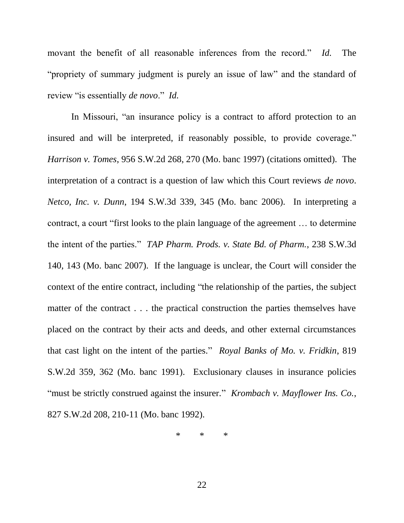movant the benefit of all reasonable inferences from the record." *Id.* The "propriety of summary judgment is purely an issue of law" and the standard of review "is essentially *de novo*." *Id.*

In Missouri, "an insurance policy is a contract to afford protection to an insured and will be interpreted, if reasonably possible, to provide coverage." *Harrison v. Tomes*, 956 S.W.2d 268, 270 (Mo. banc 1997) (citations omitted). The interpretation of a contract is a question of law which this Court reviews *de novo*. *Netco, Inc. v. Dunn*, 194 S.W.3d 339, 345 (Mo. banc 2006). In interpreting a contract, a court "first looks to the plain language of the agreement … to determine the intent of the parties." *TAP Pharm. Prods. v. State Bd. of Pharm.*, 238 S.W.3d 140, 143 (Mo. banc 2007). If the language is unclear, the Court will consider the context of the entire contract, including "the relationship of the parties, the subject matter of the contract . . . the practical construction the parties themselves have placed on the contract by their acts and deeds, and other external circumstances that cast light on the intent of the parties." *Royal Banks of Mo. v. Fridkin*, 819 S.W.2d 359, 362 (Mo. banc 1991). Exclusionary clauses in insurance policies "must be strictly construed against the insurer." *Krombach v. Mayflower Ins. Co.*, 827 S.W.2d 208, 210-11 (Mo. banc 1992).

\* \* \*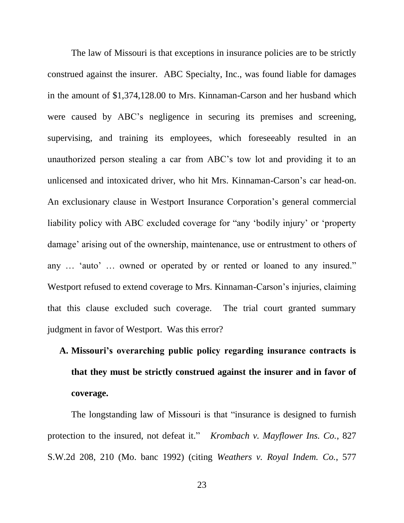The law of Missouri is that exceptions in insurance policies are to be strictly construed against the insurer. ABC Specialty, Inc., was found liable for damages in the amount of \$1,374,128.00 to Mrs. Kinnaman-Carson and her husband which were caused by ABC"s negligence in securing its premises and screening, supervising, and training its employees, which foreseeably resulted in an unauthorized person stealing a car from ABC"s tow lot and providing it to an unlicensed and intoxicated driver, who hit Mrs. Kinnaman-Carson"s car head-on. An exclusionary clause in Westport Insurance Corporation's general commercial liability policy with ABC excluded coverage for "any "bodily injury" or "property damage' arising out of the ownership, maintenance, use or entrustment to others of any ... 'auto' ... owned or operated by or rented or loaned to any insured." Westport refused to extend coverage to Mrs. Kinnaman-Carson"s injuries, claiming that this clause excluded such coverage. The trial court granted summary judgment in favor of Westport. Was this error?

# **A. Missouri's overarching public policy regarding insurance contracts is that they must be strictly construed against the insurer and in favor of coverage.**

The longstanding law of Missouri is that "insurance is designed to furnish protection to the insured, not defeat it." *Krombach v. Mayflower Ins. Co.*, 827 S.W.2d 208, 210 (Mo. banc 1992) (citing *Weathers v. Royal Indem. Co.*, 577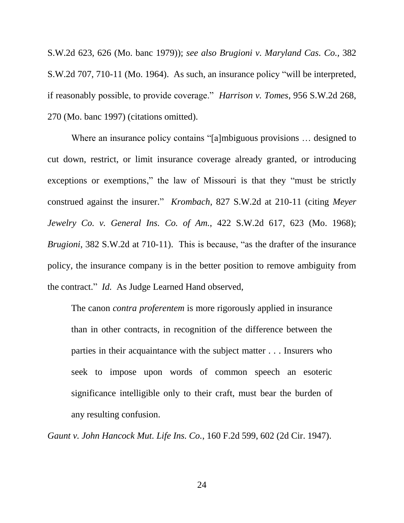S.W.2d 623, 626 (Mo. banc 1979)); *see also Brugioni v. Maryland Cas. Co.,* 382 S.W.2d 707, 710-11 (Mo. 1964). As such, an insurance policy "will be interpreted, if reasonably possible, to provide coverage." *Harrison v. Tomes*, 956 S.W.2d 268, 270 (Mo. banc 1997) (citations omitted).

Where an insurance policy contains "[a]mbiguous provisions … designed to cut down, restrict, or limit insurance coverage already granted, or introducing exceptions or exemptions," the law of Missouri is that they "must be strictly construed against the insurer." *Krombach*, 827 S.W.2d at 210-11 (citing *Meyer Jewelry Co. v. General Ins. Co. of Am.*, 422 S.W.2d 617, 623 (Mo. 1968); *Brugioni*, 382 S.W.2d at 710-11). This is because, "as the drafter of the insurance policy, the insurance company is in the better position to remove ambiguity from the contract." *Id.* As Judge Learned Hand observed,

The canon *contra proferentem* is more rigorously applied in insurance than in other contracts, in recognition of the difference between the parties in their acquaintance with the subject matter . . . Insurers who seek to impose upon words of common speech an esoteric significance intelligible only to their craft, must bear the burden of any resulting confusion.

*Gaunt v. John Hancock Mut. Life Ins. Co.*, 160 F.2d 599, 602 (2d Cir. 1947).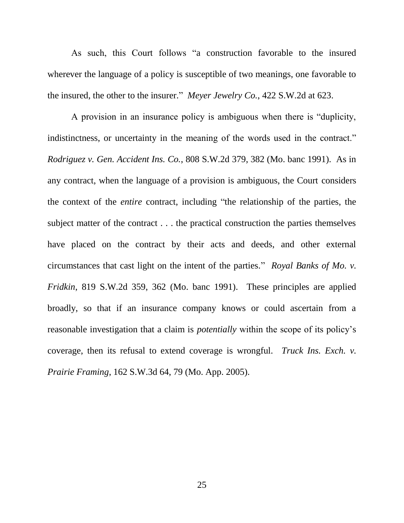As such, this Court follows "a construction favorable to the insured wherever the language of a policy is susceptible of two meanings, one favorable to the insured, the other to the insurer." *Meyer Jewelry Co.*, 422 S.W.2d at 623.

A provision in an insurance policy is ambiguous when there is "duplicity, indistinctness, or uncertainty in the meaning of the words used in the contract." *Rodriguez v. Gen. Accident Ins. Co.*, 808 S.W.2d 379, 382 (Mo. banc 1991). As in any contract, when the language of a provision is ambiguous, the Court considers the context of the *entire* contract, including "the relationship of the parties, the subject matter of the contract . . . the practical construction the parties themselves have placed on the contract by their acts and deeds, and other external circumstances that cast light on the intent of the parties." *Royal Banks of Mo. v. Fridkin*, 819 S.W.2d 359, 362 (Mo. banc 1991). These principles are applied broadly, so that if an insurance company knows or could ascertain from a reasonable investigation that a claim is *potentially* within the scope of its policy"s coverage, then its refusal to extend coverage is wrongful. *Truck Ins. Exch. v. Prairie Framing*, 162 S.W.3d 64, 79 (Mo. App. 2005).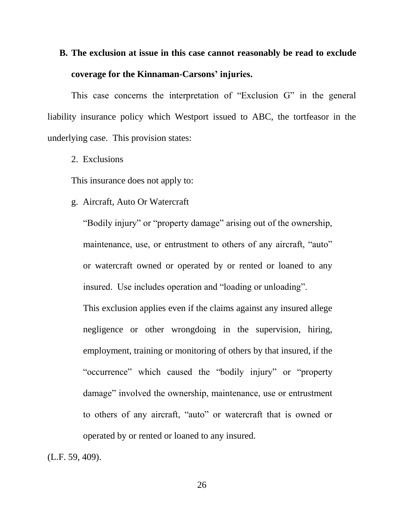## **B. The exclusion at issue in this case cannot reasonably be read to exclude coverage for the Kinnaman-Carsons' injuries.**

This case concerns the interpretation of "Exclusion G" in the general liability insurance policy which Westport issued to ABC, the tortfeasor in the underlying case. This provision states:

2. Exclusions

This insurance does not apply to:

g. Aircraft, Auto Or Watercraft

"Bodily injury" or "property damage" arising out of the ownership, maintenance, use, or entrustment to others of any aircraft, "auto" or watercraft owned or operated by or rented or loaned to any insured. Use includes operation and "loading or unloading".

This exclusion applies even if the claims against any insured allege negligence or other wrongdoing in the supervision, hiring, employment, training or monitoring of others by that insured, if the "occurrence" which caused the "bodily injury" or "property damage" involved the ownership, maintenance, use or entrustment to others of any aircraft, "auto" or watercraft that is owned or operated by or rented or loaned to any insured.

(L.F. 59, 409).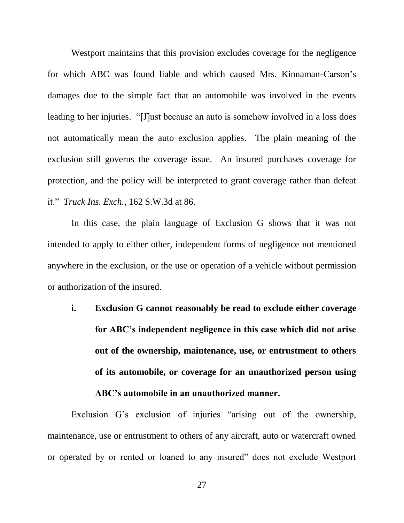Westport maintains that this provision excludes coverage for the negligence for which ABC was found liable and which caused Mrs. Kinnaman-Carson"s damages due to the simple fact that an automobile was involved in the events leading to her injuries. "[J]ust because an auto is somehow involved in a loss does not automatically mean the auto exclusion applies. The plain meaning of the exclusion still governs the coverage issue. An insured purchases coverage for protection, and the policy will be interpreted to grant coverage rather than defeat it." *Truck Ins. Exch.*, 162 S.W.3d at 86.

In this case, the plain language of Exclusion G shows that it was not intended to apply to either other, independent forms of negligence not mentioned anywhere in the exclusion, or the use or operation of a vehicle without permission or authorization of the insured.

**i. Exclusion G cannot reasonably be read to exclude either coverage for ABC's independent negligence in this case which did not arise out of the ownership, maintenance, use, or entrustment to others of its automobile, or coverage for an unauthorized person using ABC's automobile in an unauthorized manner.**

Exclusion G's exclusion of injuries "arising out of the ownership, maintenance, use or entrustment to others of any aircraft, auto or watercraft owned or operated by or rented or loaned to any insured" does not exclude Westport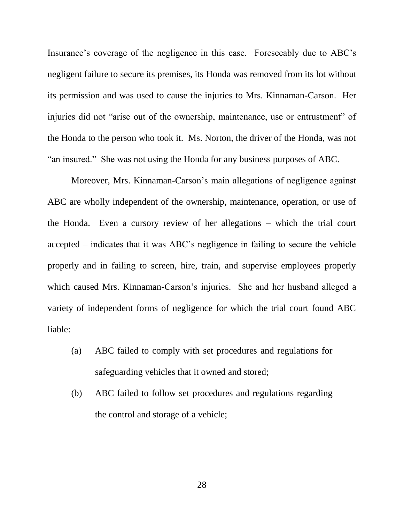Insurance's coverage of the negligence in this case. Foreseeably due to ABC's negligent failure to secure its premises, its Honda was removed from its lot without its permission and was used to cause the injuries to Mrs. Kinnaman-Carson. Her injuries did not "arise out of the ownership, maintenance, use or entrustment" of the Honda to the person who took it. Ms. Norton, the driver of the Honda, was not "an insured." She was not using the Honda for any business purposes of ABC.

Moreover, Mrs. Kinnaman-Carson"s main allegations of negligence against ABC are wholly independent of the ownership, maintenance, operation, or use of the Honda. Even a cursory review of her allegations – which the trial court accepted – indicates that it was ABC"s negligence in failing to secure the vehicle properly and in failing to screen, hire, train, and supervise employees properly which caused Mrs. Kinnaman-Carson's injuries. She and her husband alleged a variety of independent forms of negligence for which the trial court found ABC liable:

- (a) ABC failed to comply with set procedures and regulations for safeguarding vehicles that it owned and stored;
- (b) ABC failed to follow set procedures and regulations regarding the control and storage of a vehicle;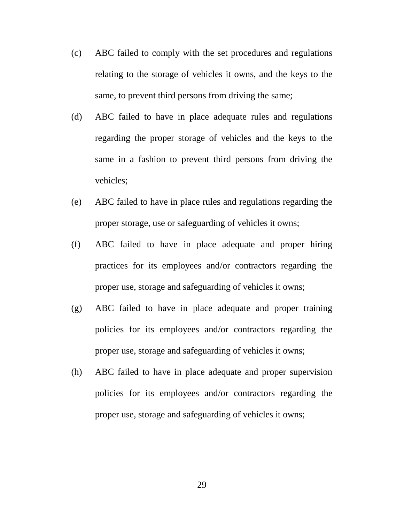- (c) ABC failed to comply with the set procedures and regulations relating to the storage of vehicles it owns, and the keys to the same, to prevent third persons from driving the same;
- (d) ABC failed to have in place adequate rules and regulations regarding the proper storage of vehicles and the keys to the same in a fashion to prevent third persons from driving the vehicles;
- (e) ABC failed to have in place rules and regulations regarding the proper storage, use or safeguarding of vehicles it owns;
- (f) ABC failed to have in place adequate and proper hiring practices for its employees and/or contractors regarding the proper use, storage and safeguarding of vehicles it owns;
- (g) ABC failed to have in place adequate and proper training policies for its employees and/or contractors regarding the proper use, storage and safeguarding of vehicles it owns;
- (h) ABC failed to have in place adequate and proper supervision policies for its employees and/or contractors regarding the proper use, storage and safeguarding of vehicles it owns;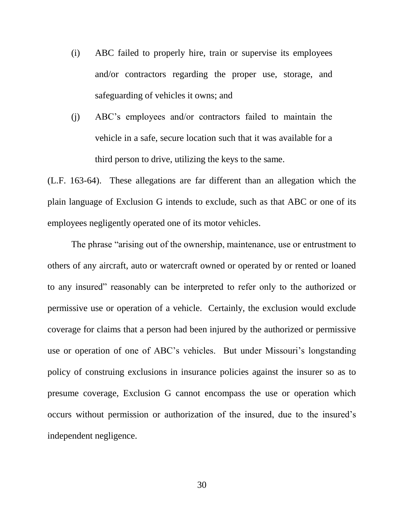- (i) ABC failed to properly hire, train or supervise its employees and/or contractors regarding the proper use, storage, and safeguarding of vehicles it owns; and
- (j) ABC"s employees and/or contractors failed to maintain the vehicle in a safe, secure location such that it was available for a third person to drive, utilizing the keys to the same.

(L.F. 163-64). These allegations are far different than an allegation which the plain language of Exclusion G intends to exclude, such as that ABC or one of its employees negligently operated one of its motor vehicles.

The phrase "arising out of the ownership, maintenance, use or entrustment to others of any aircraft, auto or watercraft owned or operated by or rented or loaned to any insured" reasonably can be interpreted to refer only to the authorized or permissive use or operation of a vehicle. Certainly, the exclusion would exclude coverage for claims that a person had been injured by the authorized or permissive use or operation of one of ABC's vehicles. But under Missouri's longstanding policy of construing exclusions in insurance policies against the insurer so as to presume coverage, Exclusion G cannot encompass the use or operation which occurs without permission or authorization of the insured, due to the insured"s independent negligence.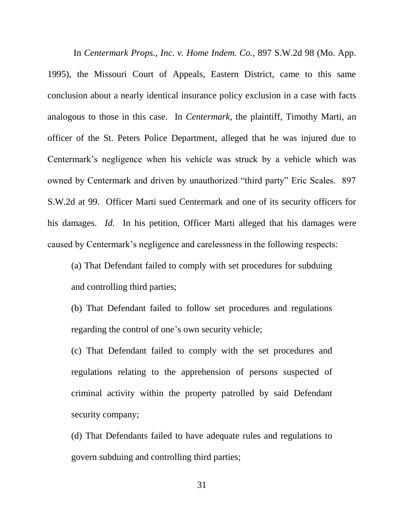In *Centermark Props., Inc. v. Home Indem. Co.*, 897 S.W.2d 98 (Mo. App. 1995), the Missouri Court of Appeals, Eastern District, came to this same conclusion about a nearly identical insurance policy exclusion in a case with facts analogous to those in this case. In *Centermark*, the plaintiff, Timothy Marti, an officer of the St. Peters Police Department, alleged that he was injured due to Centermark"s negligence when his vehicle was struck by a vehicle which was owned by Centermark and driven by unauthorized "third party" Eric Scales. 897 S.W.2d at 99. Officer Marti sued Centermark and one of its security officers for his damages. *Id.* In his petition, Officer Marti alleged that his damages were caused by Centermark"s negligence and carelessness in the following respects:

(a) That Defendant failed to comply with set procedures for subduing and controlling third parties;

(b) That Defendant failed to follow set procedures and regulations regarding the control of one's own security vehicle;

(c) That Defendant failed to comply with the set procedures and regulations relating to the apprehension of persons suspected of criminal activity within the property patrolled by said Defendant security company;

(d) That Defendants failed to have adequate rules and regulations to govern subduing and controlling third parties;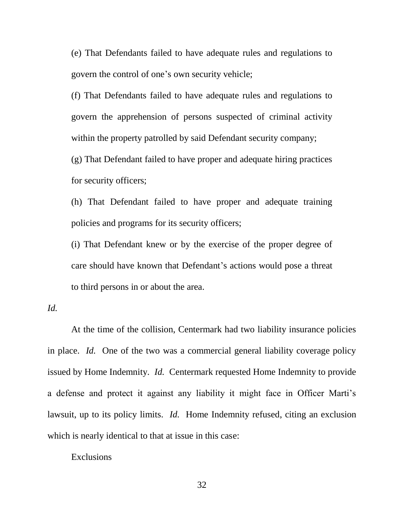(e) That Defendants failed to have adequate rules and regulations to govern the control of one"s own security vehicle;

(f) That Defendants failed to have adequate rules and regulations to govern the apprehension of persons suspected of criminal activity within the property patrolled by said Defendant security company;

(g) That Defendant failed to have proper and adequate hiring practices for security officers;

(h) That Defendant failed to have proper and adequate training policies and programs for its security officers;

(i) That Defendant knew or by the exercise of the proper degree of care should have known that Defendant's actions would pose a threat to third persons in or about the area.

*Id.*

At the time of the collision, Centermark had two liability insurance policies in place. *Id.* One of the two was a commercial general liability coverage policy issued by Home Indemnity. *Id.* Centermark requested Home Indemnity to provide a defense and protect it against any liability it might face in Officer Marti"s lawsuit, up to its policy limits. *Id.* Home Indemnity refused, citing an exclusion which is nearly identical to that at issue in this case:

Exclusions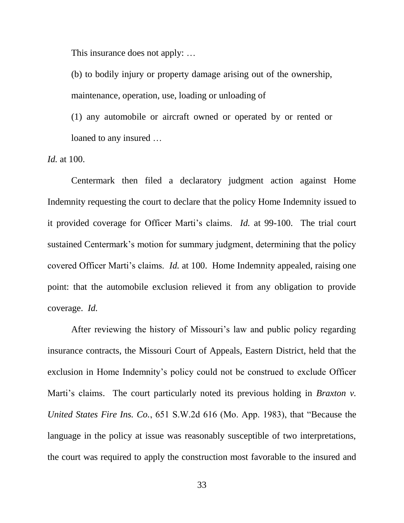This insurance does not apply: …

(b) to bodily injury or property damage arising out of the ownership, maintenance, operation, use, loading or unloading of

(1) any automobile or aircraft owned or operated by or rented or loaned to any insured …

*Id.* at 100.

Centermark then filed a declaratory judgment action against Home Indemnity requesting the court to declare that the policy Home Indemnity issued to it provided coverage for Officer Marti"s claims. *Id.* at 99-100. The trial court sustained Centermark's motion for summary judgment, determining that the policy covered Officer Marti"s claims. *Id.* at 100. Home Indemnity appealed, raising one point: that the automobile exclusion relieved it from any obligation to provide coverage. *Id.*

After reviewing the history of Missouri's law and public policy regarding insurance contracts, the Missouri Court of Appeals, Eastern District, held that the exclusion in Home Indemnity"s policy could not be construed to exclude Officer Marti's claims. The court particularly noted its previous holding in *Braxton v*. *United States Fire Ins. Co.*, 651 S.W.2d 616 (Mo. App. 1983), that "Because the language in the policy at issue was reasonably susceptible of two interpretations, the court was required to apply the construction most favorable to the insured and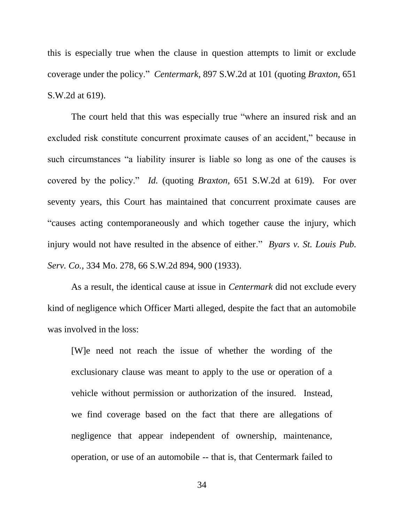this is especially true when the clause in question attempts to limit or exclude coverage under the policy." *Centermark*, 897 S.W.2d at 101 (quoting *Braxton*, 651 S.W.2d at 619).

The court held that this was especially true "where an insured risk and an excluded risk constitute concurrent proximate causes of an accident," because in such circumstances "a liability insurer is liable so long as one of the causes is covered by the policy." *Id.* (quoting *Braxton*, 651 S.W.2d at 619). For over seventy years, this Court has maintained that concurrent proximate causes are "causes acting contemporaneously and which together cause the injury, which injury would not have resulted in the absence of either." *Byars v. St. Louis Pub. Serv. Co.*, 334 Mo. 278, 66 S.W.2d 894, 900 (1933).

As a result, the identical cause at issue in *Centermark* did not exclude every kind of negligence which Officer Marti alleged, despite the fact that an automobile was involved in the loss:

[W]e need not reach the issue of whether the wording of the exclusionary clause was meant to apply to the use or operation of a vehicle without permission or authorization of the insured. Instead, we find coverage based on the fact that there are allegations of negligence that appear independent of ownership, maintenance, operation, or use of an automobile -- that is, that Centermark failed to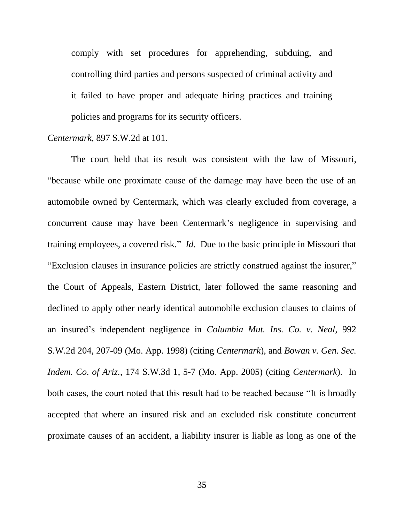comply with set procedures for apprehending, subduing, and controlling third parties and persons suspected of criminal activity and it failed to have proper and adequate hiring practices and training policies and programs for its security officers.

#### *Centermark*, 897 S.W.2d at 101.

The court held that its result was consistent with the law of Missouri, "because while one proximate cause of the damage may have been the use of an automobile owned by Centermark, which was clearly excluded from coverage, a concurrent cause may have been Centermark"s negligence in supervising and training employees, a covered risk." *Id.* Due to the basic principle in Missouri that "Exclusion clauses in insurance policies are strictly construed against the insurer," the Court of Appeals, Eastern District, later followed the same reasoning and declined to apply other nearly identical automobile exclusion clauses to claims of an insured"s independent negligence in *Columbia Mut. Ins. Co. v. Neal*, 992 S.W.2d 204, 207-09 (Mo. App. 1998) (citing *Centermark*), and *Bowan v. Gen. Sec. Indem. Co. of Ariz.*, 174 S.W.3d 1, 5-7 (Mo. App. 2005) (citing *Centermark*). In both cases, the court noted that this result had to be reached because "It is broadly accepted that where an insured risk and an excluded risk constitute concurrent proximate causes of an accident, a liability insurer is liable as long as one of the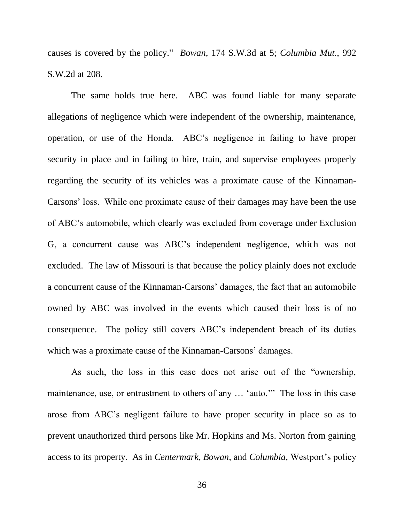causes is covered by the policy." *Bowan*, 174 S.W.3d at 5; *Columbia Mut.*, 992 S.W.2d at 208.

The same holds true here. ABC was found liable for many separate allegations of negligence which were independent of the ownership, maintenance, operation, or use of the Honda. ABC"s negligence in failing to have proper security in place and in failing to hire, train, and supervise employees properly regarding the security of its vehicles was a proximate cause of the Kinnaman-Carsons" loss. While one proximate cause of their damages may have been the use of ABC"s automobile, which clearly was excluded from coverage under Exclusion G, a concurrent cause was ABC"s independent negligence, which was not excluded. The law of Missouri is that because the policy plainly does not exclude a concurrent cause of the Kinnaman-Carsons" damages, the fact that an automobile owned by ABC was involved in the events which caused their loss is of no consequence. The policy still covers ABC"s independent breach of its duties which was a proximate cause of the Kinnaman-Carsons' damages.

As such, the loss in this case does not arise out of the "ownership, maintenance, use, or entrustment to others of any … "auto."" The loss in this case arose from ABC"s negligent failure to have proper security in place so as to prevent unauthorized third persons like Mr. Hopkins and Ms. Norton from gaining access to its property. As in *Centermark*, *Bowan*, and *Columbia*, Westport"s policy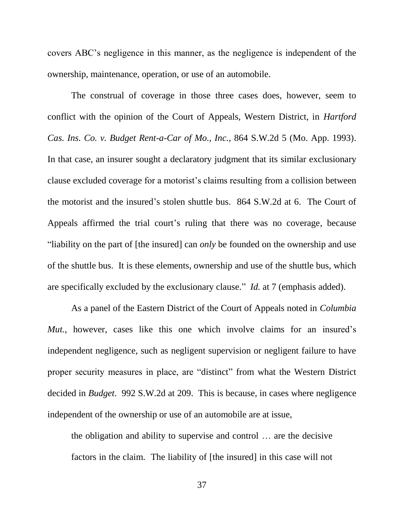covers ABC"s negligence in this manner, as the negligence is independent of the ownership, maintenance, operation, or use of an automobile.

The construal of coverage in those three cases does, however, seem to conflict with the opinion of the Court of Appeals, Western District, in *Hartford Cas. Ins. Co. v. Budget Rent-a-Car of Mo., Inc.*, 864 S.W.2d 5 (Mo. App. 1993). In that case, an insurer sought a declaratory judgment that its similar exclusionary clause excluded coverage for a motorist"s claims resulting from a collision between the motorist and the insured"s stolen shuttle bus. 864 S.W.2d at 6. The Court of Appeals affirmed the trial court"s ruling that there was no coverage, because "liability on the part of [the insured] can *only* be founded on the ownership and use of the shuttle bus. It is these elements, ownership and use of the shuttle bus, which are specifically excluded by the exclusionary clause." *Id.* at 7 (emphasis added).

As a panel of the Eastern District of the Court of Appeals noted in *Columbia Mut.*, however, cases like this one which involve claims for an insured's independent negligence, such as negligent supervision or negligent failure to have proper security measures in place, are "distinct" from what the Western District decided in *Budget*. 992 S.W.2d at 209. This is because, in cases where negligence independent of the ownership or use of an automobile are at issue,

the obligation and ability to supervise and control … are the decisive factors in the claim. The liability of [the insured] in this case will not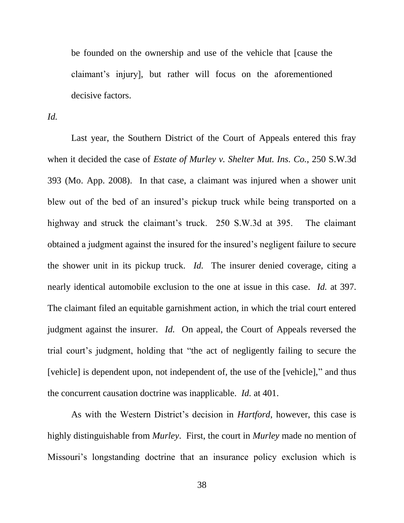be founded on the ownership and use of the vehicle that [cause the claimant"s injury], but rather will focus on the aforementioned decisive factors.

*Id.*

Last year, the Southern District of the Court of Appeals entered this fray when it decided the case of *Estate of Murley v. Shelter Mut. Ins. Co.*, 250 S.W.3d 393 (Mo. App. 2008). In that case, a claimant was injured when a shower unit blew out of the bed of an insured's pickup truck while being transported on a highway and struck the claimant's truck. 250 S.W.3d at 395. The claimant obtained a judgment against the insured for the insured"s negligent failure to secure the shower unit in its pickup truck. *Id.* The insurer denied coverage, citing a nearly identical automobile exclusion to the one at issue in this case. *Id.* at 397. The claimant filed an equitable garnishment action, in which the trial court entered judgment against the insurer. *Id.* On appeal, the Court of Appeals reversed the trial court"s judgment, holding that "the act of negligently failing to secure the [vehicle] is dependent upon, not independent of, the use of the [vehicle]," and thus the concurrent causation doctrine was inapplicable. *Id.* at 401.

As with the Western District"s decision in *Hartford*, however, this case is highly distinguishable from *Murley*. First, the court in *Murley* made no mention of Missouri's longstanding doctrine that an insurance policy exclusion which is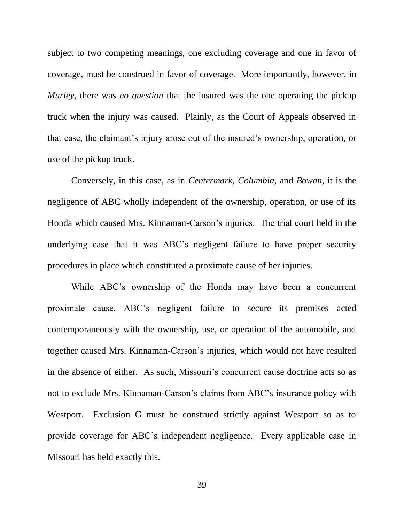subject to two competing meanings, one excluding coverage and one in favor of coverage, must be construed in favor of coverage. More importantly, however, in *Murley*, there was *no question* that the insured was the one operating the pickup truck when the injury was caused. Plainly, as the Court of Appeals observed in that case, the claimant"s injury arose out of the insured"s ownership, operation, or use of the pickup truck.

Conversely, in this case, as in *Centermark*, *Columbia*, and *Bowan*, it is the negligence of ABC wholly independent of the ownership, operation, or use of its Honda which caused Mrs. Kinnaman-Carson"s injuries. The trial court held in the underlying case that it was ABC"s negligent failure to have proper security procedures in place which constituted a proximate cause of her injuries.

While ABC"s ownership of the Honda may have been a concurrent proximate cause, ABC"s negligent failure to secure its premises acted contemporaneously with the ownership, use, or operation of the automobile, and together caused Mrs. Kinnaman-Carson"s injuries, which would not have resulted in the absence of either. As such, Missouri's concurrent cause doctrine acts so as not to exclude Mrs. Kinnaman-Carson"s claims from ABC"s insurance policy with Westport. Exclusion G must be construed strictly against Westport so as to provide coverage for ABC"s independent negligence. Every applicable case in Missouri has held exactly this.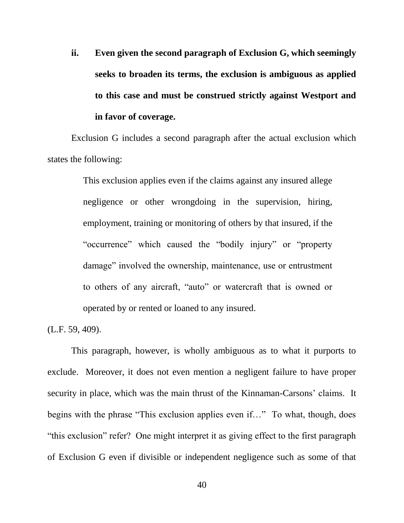**ii. Even given the second paragraph of Exclusion G, which seemingly seeks to broaden its terms, the exclusion is ambiguous as applied to this case and must be construed strictly against Westport and in favor of coverage.**

Exclusion G includes a second paragraph after the actual exclusion which states the following:

> This exclusion applies even if the claims against any insured allege negligence or other wrongdoing in the supervision, hiring, employment, training or monitoring of others by that insured, if the "occurrence" which caused the "bodily injury" or "property damage" involved the ownership, maintenance, use or entrustment to others of any aircraft, "auto" or watercraft that is owned or operated by or rented or loaned to any insured.

(L.F. 59, 409).

This paragraph, however, is wholly ambiguous as to what it purports to exclude. Moreover, it does not even mention a negligent failure to have proper security in place, which was the main thrust of the Kinnaman-Carsons' claims. It begins with the phrase "This exclusion applies even if…" To what, though, does "this exclusion" refer? One might interpret it as giving effect to the first paragraph of Exclusion G even if divisible or independent negligence such as some of that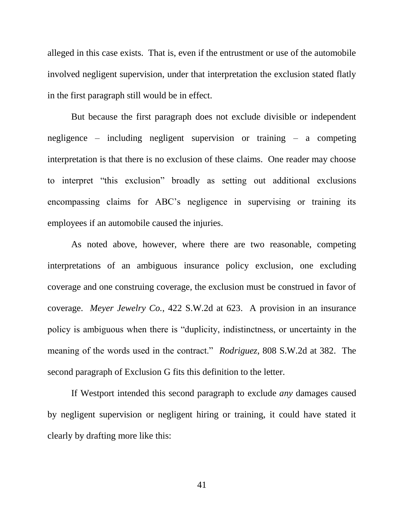alleged in this case exists. That is, even if the entrustment or use of the automobile involved negligent supervision, under that interpretation the exclusion stated flatly in the first paragraph still would be in effect.

But because the first paragraph does not exclude divisible or independent negligence – including negligent supervision or training – a competing interpretation is that there is no exclusion of these claims. One reader may choose to interpret "this exclusion" broadly as setting out additional exclusions encompassing claims for ABC"s negligence in supervising or training its employees if an automobile caused the injuries.

As noted above, however, where there are two reasonable, competing interpretations of an ambiguous insurance policy exclusion, one excluding coverage and one construing coverage, the exclusion must be construed in favor of coverage. *Meyer Jewelry Co.*, 422 S.W.2d at 623. A provision in an insurance policy is ambiguous when there is "duplicity, indistinctness, or uncertainty in the meaning of the words used in the contract." *Rodriguez*, 808 S.W.2d at 382. The second paragraph of Exclusion G fits this definition to the letter.

If Westport intended this second paragraph to exclude *any* damages caused by negligent supervision or negligent hiring or training, it could have stated it clearly by drafting more like this: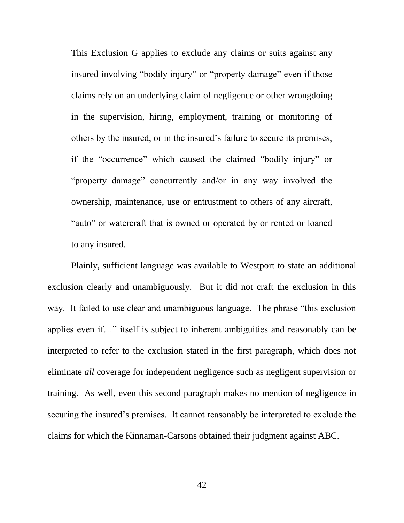This Exclusion G applies to exclude any claims or suits against any insured involving "bodily injury" or "property damage" even if those claims rely on an underlying claim of negligence or other wrongdoing in the supervision, hiring, employment, training or monitoring of others by the insured, or in the insured"s failure to secure its premises, if the "occurrence" which caused the claimed "bodily injury" or "property damage" concurrently and/or in any way involved the ownership, maintenance, use or entrustment to others of any aircraft, "auto" or watercraft that is owned or operated by or rented or loaned to any insured.

Plainly, sufficient language was available to Westport to state an additional exclusion clearly and unambiguously. But it did not craft the exclusion in this way. It failed to use clear and unambiguous language. The phrase "this exclusion applies even if…" itself is subject to inherent ambiguities and reasonably can be interpreted to refer to the exclusion stated in the first paragraph, which does not eliminate *all* coverage for independent negligence such as negligent supervision or training. As well, even this second paragraph makes no mention of negligence in securing the insured"s premises. It cannot reasonably be interpreted to exclude the claims for which the Kinnaman-Carsons obtained their judgment against ABC.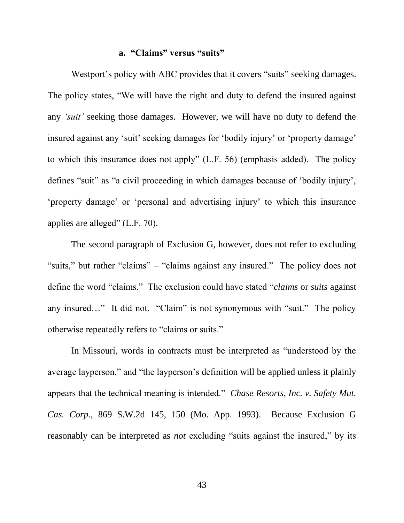#### **a. "Claims" versus "suits"**

Westport's policy with ABC provides that it covers "suits" seeking damages. The policy states, "We will have the right and duty to defend the insured against any *'suit'* seeking those damages. However, we will have no duty to defend the insured against any 'suit' seeking damages for 'bodily injury' or 'property damage' to which this insurance does not apply" (L.F. 56) (emphasis added). The policy defines "suit" as "a civil proceeding in which damages because of "bodily injury", "property damage" or "personal and advertising injury" to which this insurance applies are alleged" (L.F. 70).

The second paragraph of Exclusion G, however, does not refer to excluding "suits," but rather "claims" – "claims against any insured." The policy does not define the word "claims." The exclusion could have stated "*claims* or *suits* against any insured…" It did not. "Claim" is not synonymous with "suit." The policy otherwise repeatedly refers to "claims or suits."

In Missouri, words in contracts must be interpreted as "understood by the average layperson," and "the layperson"s definition will be applied unless it plainly appears that the technical meaning is intended." *Chase Resorts, Inc. v. Safety Mut. Cas. Corp.*, 869 S.W.2d 145, 150 (Mo. App. 1993). Because Exclusion G reasonably can be interpreted as *not* excluding "suits against the insured," by its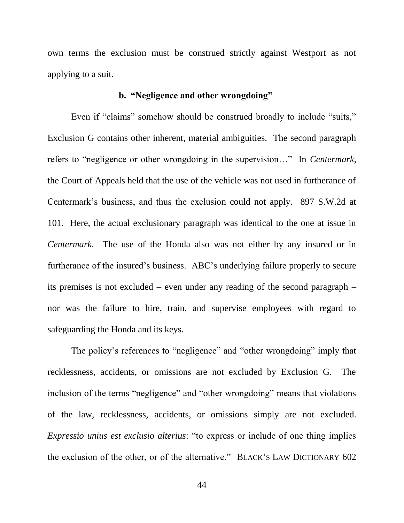own terms the exclusion must be construed strictly against Westport as not applying to a suit.

#### **b. "Negligence and other wrongdoing"**

Even if "claims" somehow should be construed broadly to include "suits," Exclusion G contains other inherent, material ambiguities. The second paragraph refers to "negligence or other wrongdoing in the supervision…" In *Centermark*, the Court of Appeals held that the use of the vehicle was not used in furtherance of Centermark"s business, and thus the exclusion could not apply. 897 S.W.2d at 101. Here, the actual exclusionary paragraph was identical to the one at issue in *Centermark*. The use of the Honda also was not either by any insured or in furtherance of the insured"s business. ABC"s underlying failure properly to secure its premises is not excluded – even under any reading of the second paragraph – nor was the failure to hire, train, and supervise employees with regard to safeguarding the Honda and its keys.

The policy's references to "negligence" and "other wrongdoing" imply that recklessness, accidents, or omissions are not excluded by Exclusion G. The inclusion of the terms "negligence" and "other wrongdoing" means that violations of the law, recklessness, accidents, or omissions simply are not excluded. *Expressio unius est exclusio alterius*: "to express or include of one thing implies the exclusion of the other, or of the alternative." BLACK"S LAW DICTIONARY 602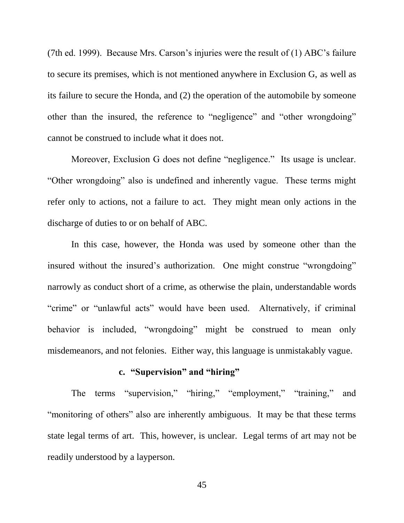(7th ed. 1999). Because Mrs. Carson"s injuries were the result of (1) ABC"s failure to secure its premises, which is not mentioned anywhere in Exclusion G, as well as its failure to secure the Honda, and (2) the operation of the automobile by someone other than the insured, the reference to "negligence" and "other wrongdoing" cannot be construed to include what it does not.

Moreover, Exclusion G does not define "negligence." Its usage is unclear. "Other wrongdoing" also is undefined and inherently vague. These terms might refer only to actions, not a failure to act. They might mean only actions in the discharge of duties to or on behalf of ABC.

In this case, however, the Honda was used by someone other than the insured without the insured's authorization. One might construe "wrongdoing" narrowly as conduct short of a crime, as otherwise the plain, understandable words "crime" or "unlawful acts" would have been used. Alternatively, if criminal behavior is included, "wrongdoing" might be construed to mean only misdemeanors, and not felonies. Either way, this language is unmistakably vague.

#### **c. "Supervision" and "hiring"**

The terms "supervision," "hiring," "employment," "training," and "monitoring of others" also are inherently ambiguous. It may be that these terms state legal terms of art. This, however, is unclear. Legal terms of art may not be readily understood by a layperson.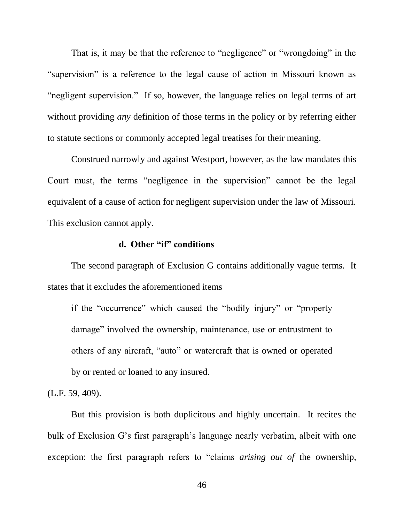That is, it may be that the reference to "negligence" or "wrongdoing" in the "supervision" is a reference to the legal cause of action in Missouri known as "negligent supervision." If so, however, the language relies on legal terms of art without providing *any* definition of those terms in the policy or by referring either to statute sections or commonly accepted legal treatises for their meaning.

Construed narrowly and against Westport, however, as the law mandates this Court must, the terms "negligence in the supervision" cannot be the legal equivalent of a cause of action for negligent supervision under the law of Missouri. This exclusion cannot apply.

### **d. Other "if" conditions**

The second paragraph of Exclusion G contains additionally vague terms. It states that it excludes the aforementioned items

if the "occurrence" which caused the "bodily injury" or "property damage" involved the ownership, maintenance, use or entrustment to others of any aircraft, "auto" or watercraft that is owned or operated by or rented or loaned to any insured.

(L.F. 59, 409).

But this provision is both duplicitous and highly uncertain. It recites the bulk of Exclusion G's first paragraph's language nearly verbatim, albeit with one exception: the first paragraph refers to "claims *arising out of* the ownership,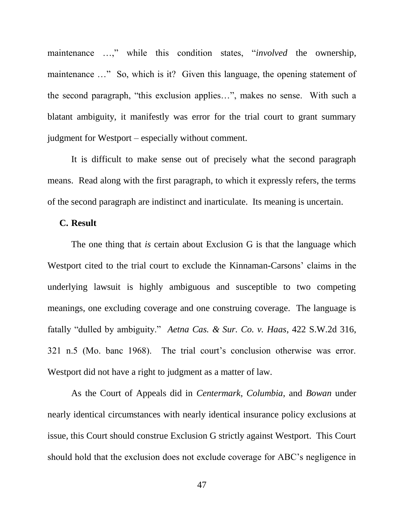maintenance …," while this condition states, "*involved* the ownership, maintenance ..." So, which is it? Given this language, the opening statement of the second paragraph, "this exclusion applies…", makes no sense. With such a blatant ambiguity, it manifestly was error for the trial court to grant summary judgment for Westport – especially without comment.

It is difficult to make sense out of precisely what the second paragraph means. Read along with the first paragraph, to which it expressly refers, the terms of the second paragraph are indistinct and inarticulate. Its meaning is uncertain.

#### **C. Result**

The one thing that *is* certain about Exclusion G is that the language which Westport cited to the trial court to exclude the Kinnaman-Carsons' claims in the underlying lawsuit is highly ambiguous and susceptible to two competing meanings, one excluding coverage and one construing coverage. The language is fatally "dulled by ambiguity." *Aetna Cas. & Sur. Co. v. Haas*, 422 S.W.2d 316, 321 n.5 (Mo. banc 1968). The trial court's conclusion otherwise was error. Westport did not have a right to judgment as a matter of law.

As the Court of Appeals did in *Centermark*, *Columbia*, and *Bowan* under nearly identical circumstances with nearly identical insurance policy exclusions at issue, this Court should construe Exclusion G strictly against Westport. This Court should hold that the exclusion does not exclude coverage for ABC"s negligence in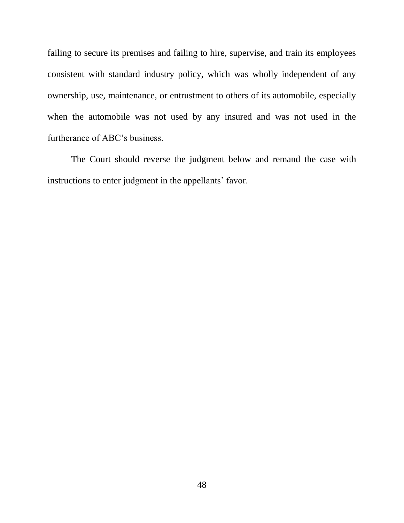failing to secure its premises and failing to hire, supervise, and train its employees consistent with standard industry policy, which was wholly independent of any ownership, use, maintenance, or entrustment to others of its automobile, especially when the automobile was not used by any insured and was not used in the furtherance of ABC"s business.

The Court should reverse the judgment below and remand the case with instructions to enter judgment in the appellants' favor.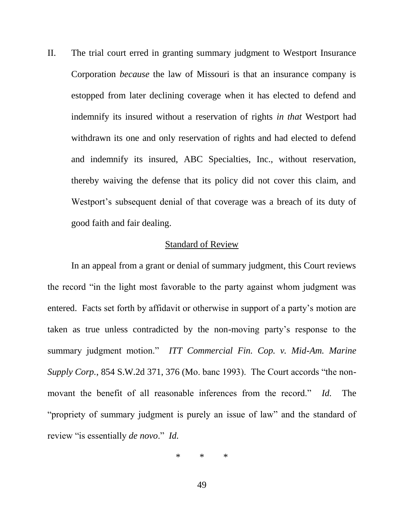II. The trial court erred in granting summary judgment to Westport Insurance Corporation *because* the law of Missouri is that an insurance company is estopped from later declining coverage when it has elected to defend and indemnify its insured without a reservation of rights *in that* Westport had withdrawn its one and only reservation of rights and had elected to defend and indemnify its insured, ABC Specialties, Inc., without reservation, thereby waiving the defense that its policy did not cover this claim, and Westport's subsequent denial of that coverage was a breach of its duty of good faith and fair dealing.

#### Standard of Review

In an appeal from a grant or denial of summary judgment, this Court reviews the record "in the light most favorable to the party against whom judgment was entered. Facts set forth by affidavit or otherwise in support of a party"s motion are taken as true unless contradicted by the non-moving party"s response to the summary judgment motion." *ITT Commercial Fin. Cop. v. Mid-Am. Marine Supply Corp.*, 854 S.W.2d 371, 376 (Mo. banc 1993). The Court accords "the nonmovant the benefit of all reasonable inferences from the record." *Id.* The "propriety of summary judgment is purely an issue of law" and the standard of review "is essentially *de novo*." *Id.*

\* \* \*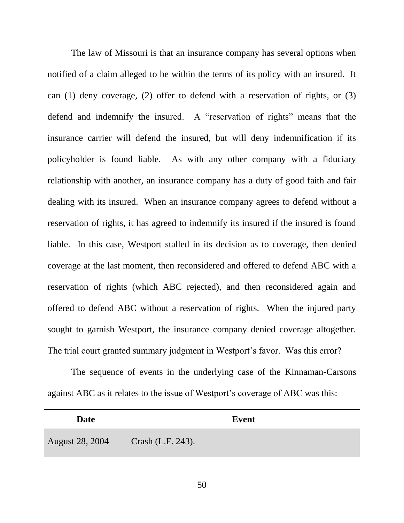The law of Missouri is that an insurance company has several options when notified of a claim alleged to be within the terms of its policy with an insured. It can (1) deny coverage, (2) offer to defend with a reservation of rights, or (3) defend and indemnify the insured. A "reservation of rights" means that the insurance carrier will defend the insured, but will deny indemnification if its policyholder is found liable. As with any other company with a fiduciary relationship with another, an insurance company has a duty of good faith and fair dealing with its insured. When an insurance company agrees to defend without a reservation of rights, it has agreed to indemnify its insured if the insured is found liable. In this case, Westport stalled in its decision as to coverage, then denied coverage at the last moment, then reconsidered and offered to defend ABC with a reservation of rights (which ABC rejected), and then reconsidered again and offered to defend ABC without a reservation of rights. When the injured party sought to garnish Westport, the insurance company denied coverage altogether. The trial court granted summary judgment in Westport's favor. Was this error?

The sequence of events in the underlying case of the Kinnaman-Carsons against ABC as it relates to the issue of Westport's coverage of ABC was this:

| Date            |                      | Event |
|-----------------|----------------------|-------|
| August 28, 2004 | Crash $(L.F. 243)$ . |       |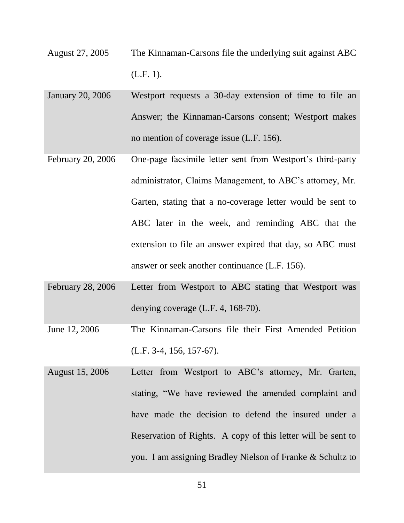- August 27, 2005 The Kinnaman-Carsons file the underlying suit against ABC (L.F. 1).
- January 20, 2006 Westport requests a 30-day extension of time to file an Answer; the Kinnaman-Carsons consent; Westport makes no mention of coverage issue (L.F. 156).
- February 20, 2006 One-page facsimile letter sent from Westport's third-party administrator, Claims Management, to ABC"s attorney, Mr. Garten, stating that a no-coverage letter would be sent to ABC later in the week, and reminding ABC that the extension to file an answer expired that day, so ABC must answer or seek another continuance (L.F. 156).
- February 28, 2006 Letter from Westport to ABC stating that Westport was denying coverage (L.F. 4, 168-70).
- June 12, 2006 The Kinnaman-Carsons file their First Amended Petition (L.F. 3-4, 156, 157-67).
- August 15, 2006 Letter from Westport to ABC"s attorney, Mr. Garten, stating, "We have reviewed the amended complaint and have made the decision to defend the insured under a Reservation of Rights. A copy of this letter will be sent to you. I am assigning Bradley Nielson of Franke & Schultz to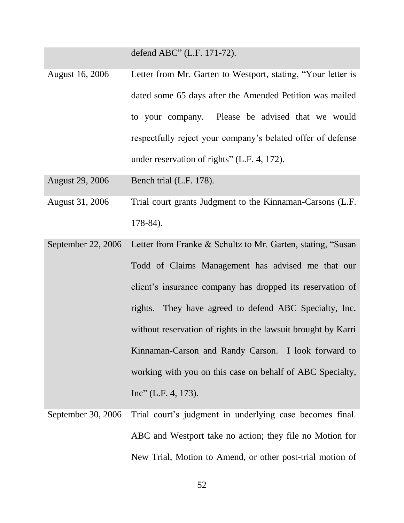defend ABC" (L.F. 171-72).

- August 16, 2006 Letter from Mr. Garten to Westport, stating, "Your letter is dated some 65 days after the Amended Petition was mailed to your company. Please be advised that we would respectfully reject your company"s belated offer of defense under reservation of rights" (L.F. 4, 172).
- August 29, 2006 Bench trial (L.F. 178).
- August 31, 2006 Trial court grants Judgment to the Kinnaman-Carsons (L.F. 178-84).
- September 22, 2006 Letter from Franke & Schultz to Mr. Garten, stating, "Susan Todd of Claims Management has advised me that our client's insurance company has dropped its reservation of rights. They have agreed to defend ABC Specialty, Inc. without reservation of rights in the lawsuit brought by Karri Kinnaman-Carson and Randy Carson. I look forward to working with you on this case on behalf of ABC Specialty, Inc" (L.F. 4, 173).
- September 30, 2006 Trial court's judgment in underlying case becomes final. ABC and Westport take no action; they file no Motion for New Trial, Motion to Amend, or other post-trial motion of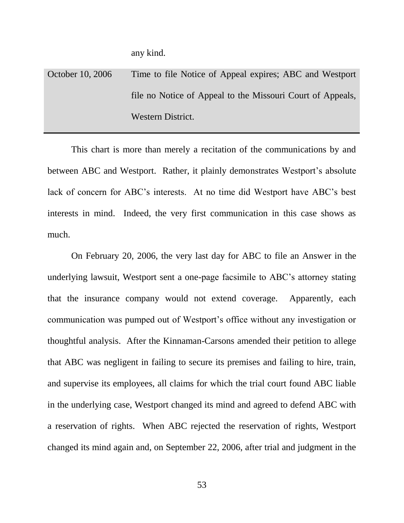any kind.

October 10, 2006 Time to file Notice of Appeal expires; ABC and Westport file no Notice of Appeal to the Missouri Court of Appeals, Western District.

This chart is more than merely a recitation of the communications by and between ABC and Westport. Rather, it plainly demonstrates Westport's absolute lack of concern for ABC"s interests. At no time did Westport have ABC"s best interests in mind. Indeed, the very first communication in this case shows as much.

On February 20, 2006, the very last day for ABC to file an Answer in the underlying lawsuit, Westport sent a one-page facsimile to ABC"s attorney stating that the insurance company would not extend coverage. Apparently, each communication was pumped out of Westport's office without any investigation or thoughtful analysis. After the Kinnaman-Carsons amended their petition to allege that ABC was negligent in failing to secure its premises and failing to hire, train, and supervise its employees, all claims for which the trial court found ABC liable in the underlying case, Westport changed its mind and agreed to defend ABC with a reservation of rights. When ABC rejected the reservation of rights, Westport changed its mind again and, on September 22, 2006, after trial and judgment in the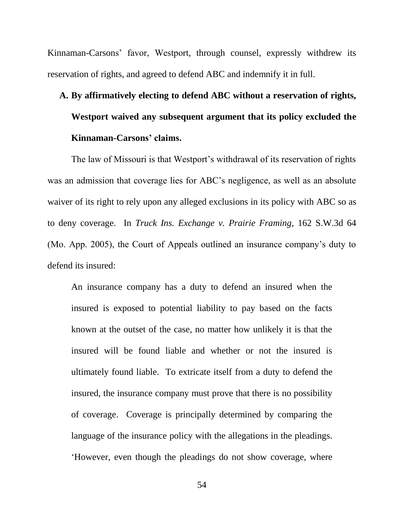Kinnaman-Carsons" favor, Westport, through counsel, expressly withdrew its reservation of rights, and agreed to defend ABC and indemnify it in full.

## **A. By affirmatively electing to defend ABC without a reservation of rights, Westport waived any subsequent argument that its policy excluded the Kinnaman-Carsons' claims.**

The law of Missouri is that Westport's withdrawal of its reservation of rights was an admission that coverage lies for ABC"s negligence, as well as an absolute waiver of its right to rely upon any alleged exclusions in its policy with ABC so as to deny coverage. In *Truck Ins. Exchange v. Prairie Framing*, 162 S.W.3d 64 (Mo. App. 2005), the Court of Appeals outlined an insurance company"s duty to defend its insured:

An insurance company has a duty to defend an insured when the insured is exposed to potential liability to pay based on the facts known at the outset of the case, no matter how unlikely it is that the insured will be found liable and whether or not the insured is ultimately found liable. To extricate itself from a duty to defend the insured, the insurance company must prove that there is no possibility of coverage. Coverage is principally determined by comparing the language of the insurance policy with the allegations in the pleadings. "However, even though the pleadings do not show coverage, where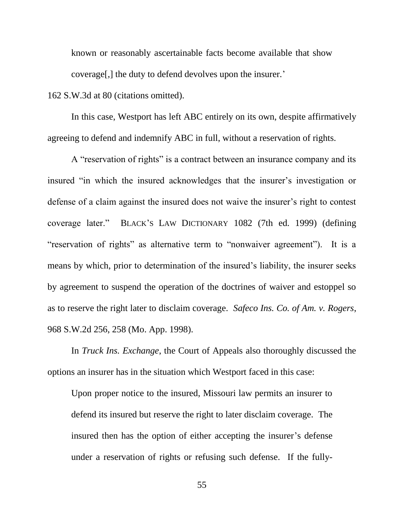known or reasonably ascertainable facts become available that show coverage[,] the duty to defend devolves upon the insurer."

162 S.W.3d at 80 (citations omitted).

In this case, Westport has left ABC entirely on its own, despite affirmatively agreeing to defend and indemnify ABC in full, without a reservation of rights.

A "reservation of rights" is a contract between an insurance company and its insured "in which the insured acknowledges that the insurer's investigation or defense of a claim against the insured does not waive the insurer's right to contest coverage later." BLACK"S LAW DICTIONARY 1082 (7th ed. 1999) (defining "reservation of rights" as alternative term to "nonwaiver agreement"). It is a means by which, prior to determination of the insured"s liability, the insurer seeks by agreement to suspend the operation of the doctrines of waiver and estoppel so as to reserve the right later to disclaim coverage. *Safeco Ins. Co. of Am. v. Rogers*, 968 S.W.2d 256, 258 (Mo. App. 1998).

In *Truck Ins. Exchange*, the Court of Appeals also thoroughly discussed the options an insurer has in the situation which Westport faced in this case:

Upon proper notice to the insured, Missouri law permits an insurer to defend its insured but reserve the right to later disclaim coverage. The insured then has the option of either accepting the insurer's defense under a reservation of rights or refusing such defense. If the fully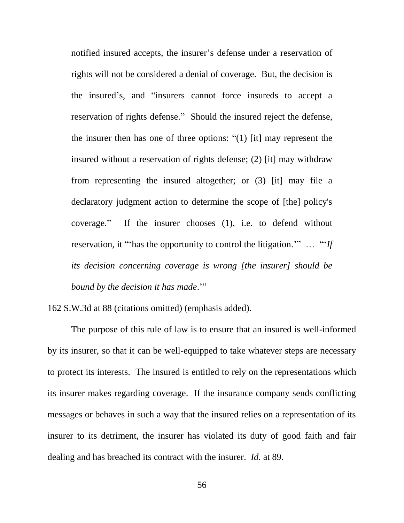notified insured accepts, the insurer's defense under a reservation of rights will not be considered a denial of coverage. But, the decision is the insured's, and "insurers cannot force insureds to accept a reservation of rights defense." Should the insured reject the defense, the insurer then has one of three options: "(1) [it] may represent the insured without a reservation of rights defense; (2) [it] may withdraw from representing the insured altogether; or (3) [it] may file a declaratory judgment action to determine the scope of [the] policy's coverage." If the insurer chooses (1), i.e. to defend without reservation, it ""has the opportunity to control the litigation."" … ""*If its decision concerning coverage is wrong [the insurer] should be bound by the decision it has made*.""

162 S.W.3d at 88 (citations omitted) (emphasis added).

The purpose of this rule of law is to ensure that an insured is well-informed by its insurer, so that it can be well-equipped to take whatever steps are necessary to protect its interests. The insured is entitled to rely on the representations which its insurer makes regarding coverage. If the insurance company sends conflicting messages or behaves in such a way that the insured relies on a representation of its insurer to its detriment, the insurer has violated its duty of good faith and fair dealing and has breached its contract with the insurer. *Id.* at 89.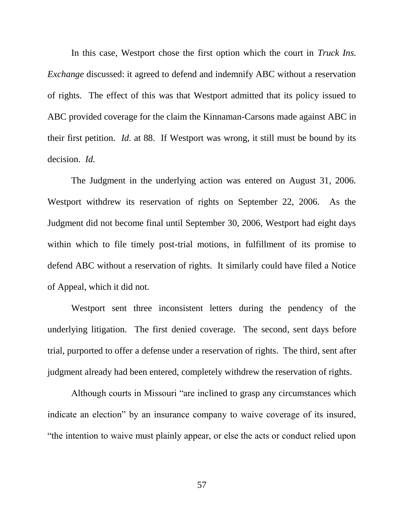In this case, Westport chose the first option which the court in *Truck Ins. Exchange* discussed: it agreed to defend and indemnify ABC without a reservation of rights. The effect of this was that Westport admitted that its policy issued to ABC provided coverage for the claim the Kinnaman-Carsons made against ABC in their first petition. *Id.* at 88. If Westport was wrong, it still must be bound by its decision. *Id.*

The Judgment in the underlying action was entered on August 31, 2006. Westport withdrew its reservation of rights on September 22, 2006. As the Judgment did not become final until September 30, 2006, Westport had eight days within which to file timely post-trial motions, in fulfillment of its promise to defend ABC without a reservation of rights. It similarly could have filed a Notice of Appeal, which it did not.

Westport sent three inconsistent letters during the pendency of the underlying litigation. The first denied coverage. The second, sent days before trial, purported to offer a defense under a reservation of rights. The third, sent after judgment already had been entered, completely withdrew the reservation of rights.

Although courts in Missouri "are inclined to grasp any circumstances which indicate an election" by an insurance company to waive coverage of its insured, "the intention to waive must plainly appear, or else the acts or conduct relied upon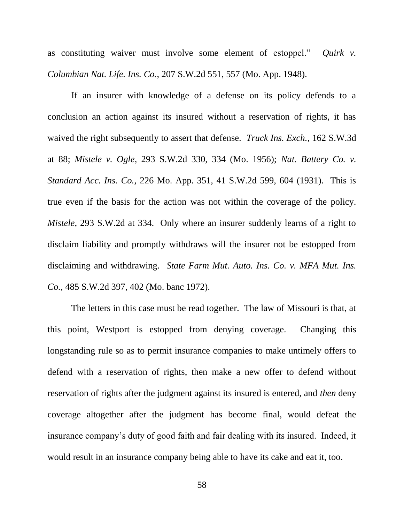as constituting waiver must involve some element of estoppel." *Quirk v. Columbian Nat. Life. Ins. Co.*, 207 S.W.2d 551, 557 (Mo. App. 1948).

If an insurer with knowledge of a defense on its policy defends to a conclusion an action against its insured without a reservation of rights, it has waived the right subsequently to assert that defense. *Truck Ins. Exch.*, 162 S.W.3d at 88; *Mistele v. Ogle*, 293 S.W.2d 330, 334 (Mo. 1956); *Nat. Battery Co. v. Standard Acc. Ins. Co.*, 226 Mo. App. 351, 41 S.W.2d 599, 604 (1931). This is true even if the basis for the action was not within the coverage of the policy. *Mistele*, 293 S.W.2d at 334. Only where an insurer suddenly learns of a right to disclaim liability and promptly withdraws will the insurer not be estopped from disclaiming and withdrawing. *State Farm Mut. Auto. Ins. Co. v. MFA Mut. Ins. Co.*, 485 S.W.2d 397, 402 (Mo. banc 1972).

The letters in this case must be read together. The law of Missouri is that, at this point, Westport is estopped from denying coverage. Changing this longstanding rule so as to permit insurance companies to make untimely offers to defend with a reservation of rights, then make a new offer to defend without reservation of rights after the judgment against its insured is entered, and *then* deny coverage altogether after the judgment has become final, would defeat the insurance company"s duty of good faith and fair dealing with its insured. Indeed, it would result in an insurance company being able to have its cake and eat it, too.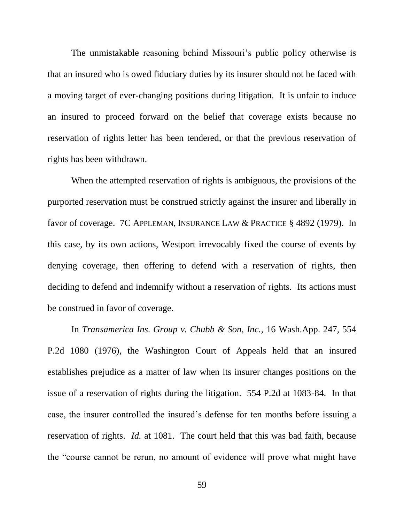The unmistakable reasoning behind Missouri's public policy otherwise is that an insured who is owed fiduciary duties by its insurer should not be faced with a moving target of ever-changing positions during litigation. It is unfair to induce an insured to proceed forward on the belief that coverage exists because no reservation of rights letter has been tendered, or that the previous reservation of rights has been withdrawn.

When the attempted reservation of rights is ambiguous, the provisions of the purported reservation must be construed strictly against the insurer and liberally in favor of coverage. 7C APPLEMAN, INSURANCE LAW & PRACTICE § 4892 (1979). In this case, by its own actions, Westport irrevocably fixed the course of events by denying coverage, then offering to defend with a reservation of rights, then deciding to defend and indemnify without a reservation of rights. Its actions must be construed in favor of coverage.

In *Transamerica Ins. Group v. Chubb & Son, Inc.*, 16 Wash.App. 247, 554 P.2d 1080 (1976), the Washington Court of Appeals held that an insured establishes prejudice as a matter of law when its insurer changes positions on the issue of a reservation of rights during the litigation. 554 P.2d at 1083-84. In that case, the insurer controlled the insured"s defense for ten months before issuing a reservation of rights. *Id.* at 1081. The court held that this was bad faith, because the "course cannot be rerun, no amount of evidence will prove what might have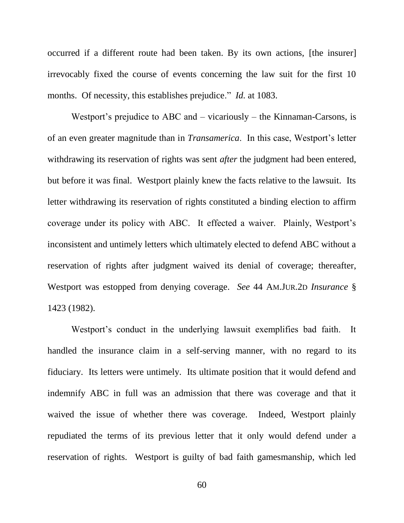occurred if a different route had been taken. By its own actions, [the insurer] irrevocably fixed the course of events concerning the law suit for the first 10 months. Of necessity, this establishes prejudice." *Id.* at 1083.

Westport's prejudice to ABC and  $-$  vicariously  $-$  the Kinnaman-Carsons, is of an even greater magnitude than in *Transamerica*. In this case, Westport"s letter withdrawing its reservation of rights was sent *after* the judgment had been entered, but before it was final. Westport plainly knew the facts relative to the lawsuit. Its letter withdrawing its reservation of rights constituted a binding election to affirm coverage under its policy with ABC. It effected a waiver. Plainly, Westport's inconsistent and untimely letters which ultimately elected to defend ABC without a reservation of rights after judgment waived its denial of coverage; thereafter, Westport was estopped from denying coverage. *See* 44 AM.JUR.2D *Insurance* § 1423 (1982).

Westport's conduct in the underlying lawsuit exemplifies bad faith. It handled the insurance claim in a self-serving manner, with no regard to its fiduciary. Its letters were untimely. Its ultimate position that it would defend and indemnify ABC in full was an admission that there was coverage and that it waived the issue of whether there was coverage. Indeed, Westport plainly repudiated the terms of its previous letter that it only would defend under a reservation of rights. Westport is guilty of bad faith gamesmanship, which led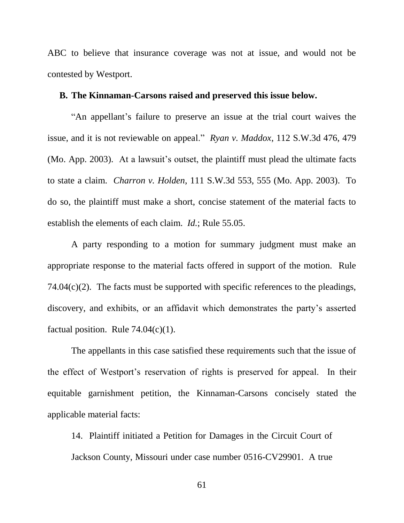ABC to believe that insurance coverage was not at issue, and would not be contested by Westport.

#### **B. The Kinnaman-Carsons raised and preserved this issue below.**

"An appellant"s failure to preserve an issue at the trial court waives the issue, and it is not reviewable on appeal." *Ryan v. Maddox*, 112 S.W.3d 476, 479 (Mo. App. 2003). At a lawsuit's outset, the plaintiff must plead the ultimate facts to state a claim. *Charron v. Holden*, 111 S.W.3d 553, 555 (Mo. App. 2003). To do so, the plaintiff must make a short, concise statement of the material facts to establish the elements of each claim. *Id.*; Rule 55.05.

A party responding to a motion for summary judgment must make an appropriate response to the material facts offered in support of the motion. Rule  $74.04(c)(2)$ . The facts must be supported with specific references to the pleadings, discovery, and exhibits, or an affidavit which demonstrates the party"s asserted factual position. Rule  $74.04(c)(1)$ .

The appellants in this case satisfied these requirements such that the issue of the effect of Westport"s reservation of rights is preserved for appeal. In their equitable garnishment petition, the Kinnaman-Carsons concisely stated the applicable material facts:

14. Plaintiff initiated a Petition for Damages in the Circuit Court of Jackson County, Missouri under case number 0516-CV29901. A true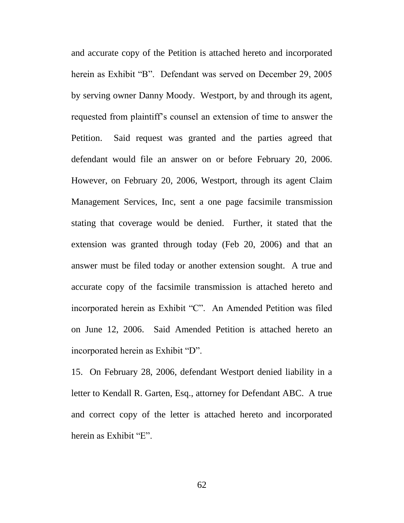and accurate copy of the Petition is attached hereto and incorporated herein as Exhibit "B". Defendant was served on December 29, 2005 by serving owner Danny Moody. Westport, by and through its agent, requested from plaintiff"s counsel an extension of time to answer the Petition. Said request was granted and the parties agreed that defendant would file an answer on or before February 20, 2006. However, on February 20, 2006, Westport, through its agent Claim Management Services, Inc, sent a one page facsimile transmission stating that coverage would be denied. Further, it stated that the extension was granted through today (Feb 20, 2006) and that an answer must be filed today or another extension sought. A true and accurate copy of the facsimile transmission is attached hereto and incorporated herein as Exhibit "C". An Amended Petition was filed on June 12, 2006. Said Amended Petition is attached hereto an incorporated herein as Exhibit "D".

15. On February 28, 2006, defendant Westport denied liability in a letter to Kendall R. Garten, Esq., attorney for Defendant ABC. A true and correct copy of the letter is attached hereto and incorporated herein as Exhibit "E".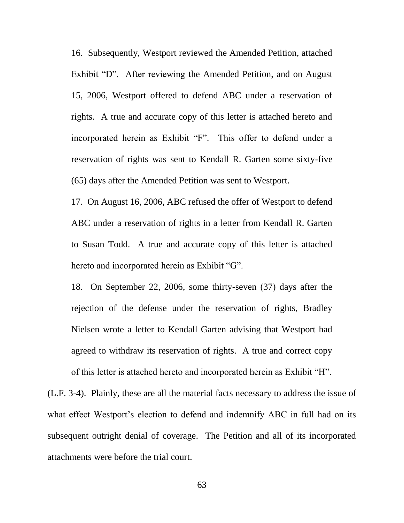16. Subsequently, Westport reviewed the Amended Petition, attached Exhibit "D". After reviewing the Amended Petition, and on August 15, 2006, Westport offered to defend ABC under a reservation of rights. A true and accurate copy of this letter is attached hereto and incorporated herein as Exhibit "F". This offer to defend under a reservation of rights was sent to Kendall R. Garten some sixty-five (65) days after the Amended Petition was sent to Westport.

17. On August 16, 2006, ABC refused the offer of Westport to defend ABC under a reservation of rights in a letter from Kendall R. Garten to Susan Todd. A true and accurate copy of this letter is attached hereto and incorporated herein as Exhibit "G".

18. On September 22, 2006, some thirty-seven (37) days after the rejection of the defense under the reservation of rights, Bradley Nielsen wrote a letter to Kendall Garten advising that Westport had agreed to withdraw its reservation of rights. A true and correct copy of this letter is attached hereto and incorporated herein as Exhibit "H".

(L.F. 3-4). Plainly, these are all the material facts necessary to address the issue of what effect Westport's election to defend and indemnify ABC in full had on its subsequent outright denial of coverage. The Petition and all of its incorporated attachments were before the trial court.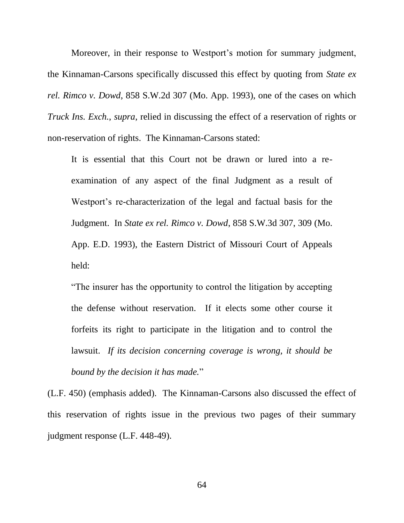Moreover, in their response to Westport's motion for summary judgment, the Kinnaman-Carsons specifically discussed this effect by quoting from *State ex rel. Rimco v. Dowd*, 858 S.W.2d 307 (Mo. App. 1993), one of the cases on which *Truck Ins. Exch.*, *supra*, relied in discussing the effect of a reservation of rights or non-reservation of rights. The Kinnaman-Carsons stated:

It is essential that this Court not be drawn or lured into a reexamination of any aspect of the final Judgment as a result of Westport's re-characterization of the legal and factual basis for the Judgment. In *State ex rel. Rimco v. Dowd*, 858 S.W.3d 307, 309 (Mo. App. E.D. 1993), the Eastern District of Missouri Court of Appeals held:

"The insurer has the opportunity to control the litigation by accepting the defense without reservation. If it elects some other course it forfeits its right to participate in the litigation and to control the lawsuit. *If its decision concerning coverage is wrong, it should be bound by the decision it has made.*"

(L.F. 450) (emphasis added). The Kinnaman-Carsons also discussed the effect of this reservation of rights issue in the previous two pages of their summary judgment response (L.F. 448-49).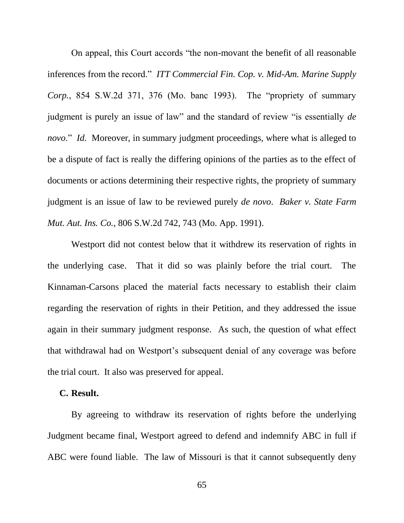On appeal, this Court accords "the non-movant the benefit of all reasonable inferences from the record." *ITT Commercial Fin. Cop. v. Mid-Am. Marine Supply Corp.*, 854 S.W.2d 371, 376 (Mo. banc 1993). The "propriety of summary judgment is purely an issue of law" and the standard of review "is essentially *de novo*." *Id.* Moreover, in summary judgment proceedings, where what is alleged to be a dispute of fact is really the differing opinions of the parties as to the effect of documents or actions determining their respective rights, the propriety of summary judgment is an issue of law to be reviewed purely *de novo*. *Baker v. State Farm Mut. Aut. Ins. Co.*, 806 S.W.2d 742, 743 (Mo. App. 1991).

Westport did not contest below that it withdrew its reservation of rights in the underlying case. That it did so was plainly before the trial court. The Kinnaman-Carsons placed the material facts necessary to establish their claim regarding the reservation of rights in their Petition, and they addressed the issue again in their summary judgment response. As such, the question of what effect that withdrawal had on Westport's subsequent denial of any coverage was before the trial court. It also was preserved for appeal.

#### **C. Result.**

By agreeing to withdraw its reservation of rights before the underlying Judgment became final, Westport agreed to defend and indemnify ABC in full if ABC were found liable. The law of Missouri is that it cannot subsequently deny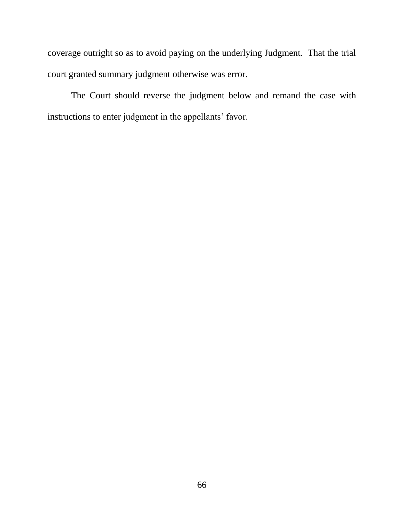coverage outright so as to avoid paying on the underlying Judgment. That the trial court granted summary judgment otherwise was error.

The Court should reverse the judgment below and remand the case with instructions to enter judgment in the appellants' favor.